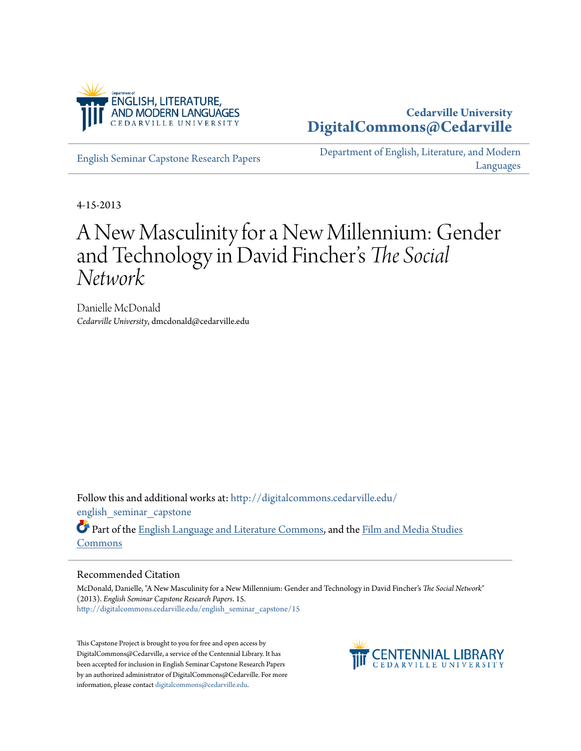

### **Cedarville University [DigitalCommons@Cedarville](http://digitalcommons.cedarville.edu?utm_source=digitalcommons.cedarville.edu%2Fenglish_seminar_capstone%2F15&utm_medium=PDF&utm_campaign=PDFCoverPages)**

[English Seminar Capstone Research Papers](http://digitalcommons.cedarville.edu/english_seminar_capstone?utm_source=digitalcommons.cedarville.edu%2Fenglish_seminar_capstone%2F15&utm_medium=PDF&utm_campaign=PDFCoverPages)

[Department of English, Literature, and Modern](http://digitalcommons.cedarville.edu/english_literature_modern_languages?utm_source=digitalcommons.cedarville.edu%2Fenglish_seminar_capstone%2F15&utm_medium=PDF&utm_campaign=PDFCoverPages) [Languages](http://digitalcommons.cedarville.edu/english_literature_modern_languages?utm_source=digitalcommons.cedarville.edu%2Fenglish_seminar_capstone%2F15&utm_medium=PDF&utm_campaign=PDFCoverPages)

4-15-2013

### A New Masculinity for a New Millennium: Gender and Technology in David Fincher s *The Social* י<br>' י *Network*

Danielle McDonald *Cedarville University*, dmcdonald@cedarville.edu

Follow this and additional works at: [http://digitalcommons.cedarville.edu/](http://digitalcommons.cedarville.edu/english_seminar_capstone?utm_source=digitalcommons.cedarville.edu%2Fenglish_seminar_capstone%2F15&utm_medium=PDF&utm_campaign=PDFCoverPages) english seminar capstone

Part of the [English Language and Literature Commons](http://network.bepress.com/hgg/discipline/455?utm_source=digitalcommons.cedarville.edu%2Fenglish_seminar_capstone%2F15&utm_medium=PDF&utm_campaign=PDFCoverPages), and the [Film and Media Studies](http://network.bepress.com/hgg/discipline/563?utm_source=digitalcommons.cedarville.edu%2Fenglish_seminar_capstone%2F15&utm_medium=PDF&utm_campaign=PDFCoverPages) [Commons](http://network.bepress.com/hgg/discipline/563?utm_source=digitalcommons.cedarville.edu%2Fenglish_seminar_capstone%2F15&utm_medium=PDF&utm_campaign=PDFCoverPages)

### Recommended Citation

McDonald, Danielle, "A New Masculinity for a New Millennium: Gender and Technology in David Fincher's *The Social Network*" (2013). *English Seminar Capstone Research Papers*. 15. [http://digitalcommons.cedarville.edu/english\\_seminar\\_capstone/15](http://digitalcommons.cedarville.edu/english_seminar_capstone/15?utm_source=digitalcommons.cedarville.edu%2Fenglish_seminar_capstone%2F15&utm_medium=PDF&utm_campaign=PDFCoverPages)

This Capstone Project is brought to you for free and open access by DigitalCommons@Cedarville, a service of the Centennial Library. It has been accepted for inclusion in English Seminar Capstone Research Papers by an authorized administrator of DigitalCommons@Cedarville. For more information, please contact [digitalcommons@cedarville.edu.](mailto:digitalcommons@cedarville.edu)

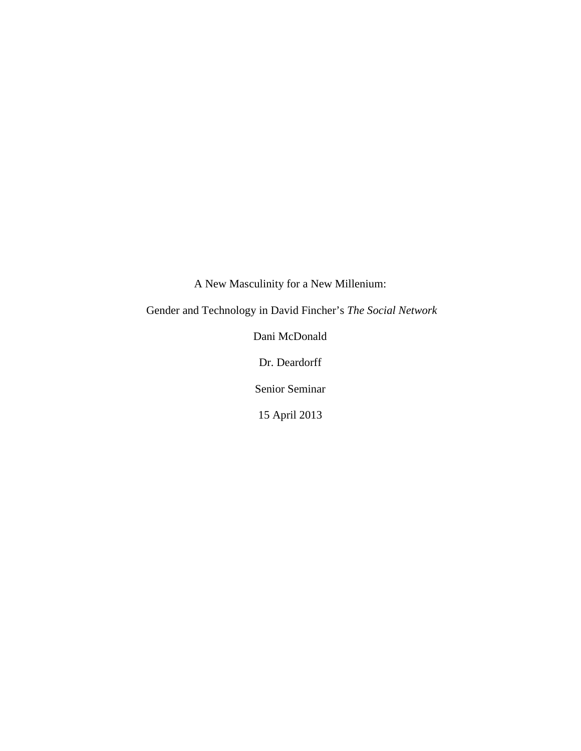A New Masculinity for a New Millenium:

Gender and Technology in David Fincher's *The Social Network*

Dani McDonald

Dr. Deardorff

Senior Seminar

15 April 2013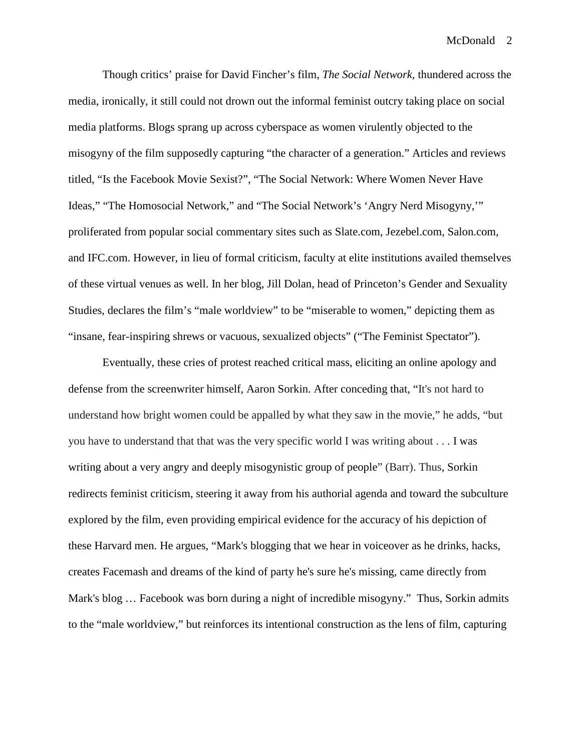Though critics' praise for David Fincher's film, *The Social Network,* thundered across the media, ironically, it still could not drown out the informal feminist outcry taking place on social media platforms. Blogs sprang up across cyberspace as women virulently objected to the misogyny of the film supposedly capturing "the character of a generation." Articles and reviews titled, "Is the Facebook Movie Sexist?", "The Social Network: Where Women Never Have Ideas," "The Homosocial Network," and "The Social Network's 'Angry Nerd Misogyny,'" proliferated from popular social commentary sites such as Slate.com, Jezebel.com, Salon.com, and IFC.com. However, in lieu of formal criticism, faculty at elite institutions availed themselves of these virtual venues as well. In her blog, Jill Dolan, head of Princeton's Gender and Sexuality Studies, declares the film's "male worldview" to be "miserable to women," depicting them as "insane, fear-inspiring shrews or vacuous, sexualized objects" ("The Feminist Spectator").

Eventually, these cries of protest reached critical mass, eliciting an online apology and defense from the screenwriter himself, Aaron Sorkin. After conceding that, "It's not hard to understand how bright women could be appalled by what they saw in the movie," he adds, "but you have to understand that that was the very specific world I was writing about . . . I was writing about a very angry and deeply misogynistic group of people" (Barr). Thus, Sorkin redirects feminist criticism, steering it away from his authorial agenda and toward the subculture explored by the film, even providing empirical evidence for the accuracy of his depiction of these Harvard men. He argues, "Mark's blogging that we hear in voiceover as he drinks, hacks, creates Facemash and dreams of the kind of party he's sure he's missing, came directly from Mark's blog … Facebook was born during a night of incredible misogyny." Thus, Sorkin admits to the "male worldview," but reinforces its intentional construction as the lens of film, capturing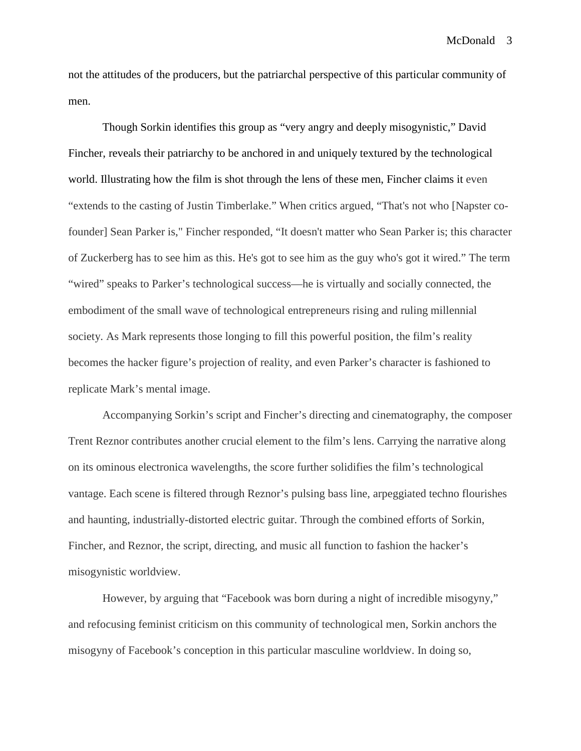not the attitudes of the producers, but the patriarchal perspective of this particular community of men.

Though Sorkin identifies this group as "very angry and deeply misogynistic," David Fincher, reveals their patriarchy to be anchored in and uniquely textured by the technological world. Illustrating how the film is shot through the lens of these men, Fincher claims it even "extends to the casting of Justin Timberlake." When critics argued, "That's not who [Napster cofounder] Sean Parker is," Fincher responded, "It doesn't matter who Sean Parker is; this character of Zuckerberg has to see him as this. He's got to see him as the guy who's got it wired." The term "wired" speaks to Parker's technological success—he is virtually and socially connected, the embodiment of the small wave of technological entrepreneurs rising and ruling millennial society. As Mark represents those longing to fill this powerful position, the film's reality becomes the hacker figure's projection of reality, and even Parker's character is fashioned to replicate Mark's mental image.

Accompanying Sorkin's script and Fincher's directing and cinematography, the composer Trent Reznor contributes another crucial element to the film's lens. Carrying the narrative along on its ominous electronica wavelengths, the score further solidifies the film's technological vantage. Each scene is filtered through Reznor's pulsing bass line, arpeggiated techno flourishes and haunting, industrially-distorted electric guitar. Through the combined efforts of Sorkin, Fincher, and Reznor, the script, directing, and music all function to fashion the hacker's misogynistic worldview.

However, by arguing that "Facebook was born during a night of incredible misogyny," and refocusing feminist criticism on this community of technological men, Sorkin anchors the misogyny of Facebook's conception in this particular masculine worldview. In doing so,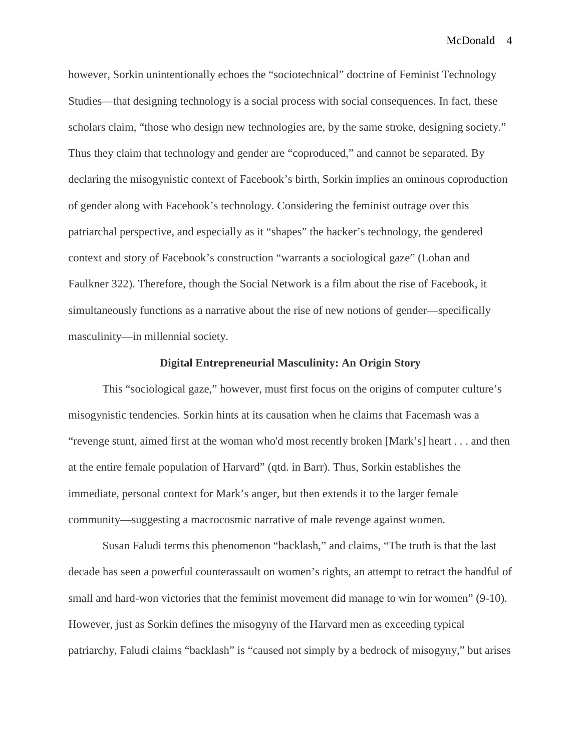however, Sorkin unintentionally echoes the "sociotechnical" doctrine of Feminist Technology Studies—that designing technology is a social process with social consequences. In fact, these scholars claim, "those who design new technologies are, by the same stroke, designing society." Thus they claim that technology and gender are "coproduced," and cannot be separated. By declaring the misogynistic context of Facebook's birth, Sorkin implies an ominous coproduction of gender along with Facebook's technology. Considering the feminist outrage over this patriarchal perspective, and especially as it "shapes" the hacker's technology, the gendered context and story of Facebook's construction "warrants a sociological gaze" (Lohan and Faulkner 322). Therefore, though the Social Network is a film about the rise of Facebook, it simultaneously functions as a narrative about the rise of new notions of gender—specifically masculinity—in millennial society.

### **Digital Entrepreneurial Masculinity: An Origin Story**

This "sociological gaze," however, must first focus on the origins of computer culture's misogynistic tendencies. Sorkin hints at its causation when he claims that Facemash was a "revenge stunt, aimed first at the woman who'd most recently broken [Mark's] heart . . . and then at the entire female population of Harvard" (qtd. in Barr). Thus, Sorkin establishes the immediate, personal context for Mark's anger, but then extends it to the larger female community—suggesting a macrocosmic narrative of male revenge against women.

Susan Faludi terms this phenomenon "backlash," and claims, "The truth is that the last decade has seen a powerful counterassault on women's rights, an attempt to retract the handful of small and hard-won victories that the feminist movement did manage to win for women" (9-10). However, just as Sorkin defines the misogyny of the Harvard men as exceeding typical patriarchy, Faludi claims "backlash" is "caused not simply by a bedrock of misogyny," but arises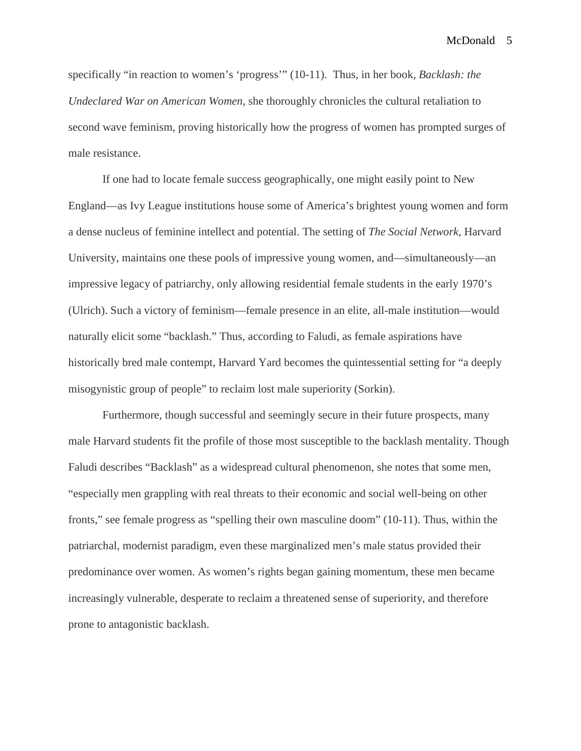specifically "in reaction to women's 'progress'" (10-11). Thus, in her book, *Backlash: the Undeclared War on American Women,* she thoroughly chronicles the cultural retaliation to second wave feminism, proving historically how the progress of women has prompted surges of male resistance.

If one had to locate female success geographically, one might easily point to New England—as Ivy League institutions house some of America's brightest young women and form a dense nucleus of feminine intellect and potential. The setting of *The Social Network*, Harvard University, maintains one these pools of impressive young women, and—simultaneously—an impressive legacy of patriarchy, only allowing residential female students in the early 1970's (Ulrich). Such a victory of feminism—female presence in an elite, all-male institution—would naturally elicit some "backlash." Thus, according to Faludi, as female aspirations have historically bred male contempt, Harvard Yard becomes the quintessential setting for "a deeply misogynistic group of people" to reclaim lost male superiority (Sorkin).

Furthermore, though successful and seemingly secure in their future prospects, many male Harvard students fit the profile of those most susceptible to the backlash mentality. Though Faludi describes "Backlash" as a widespread cultural phenomenon, she notes that some men, "especially men grappling with real threats to their economic and social well-being on other fronts," see female progress as "spelling their own masculine doom" (10-11). Thus, within the patriarchal, modernist paradigm, even these marginalized men's male status provided their predominance over women. As women's rights began gaining momentum, these men became increasingly vulnerable, desperate to reclaim a threatened sense of superiority, and therefore prone to antagonistic backlash.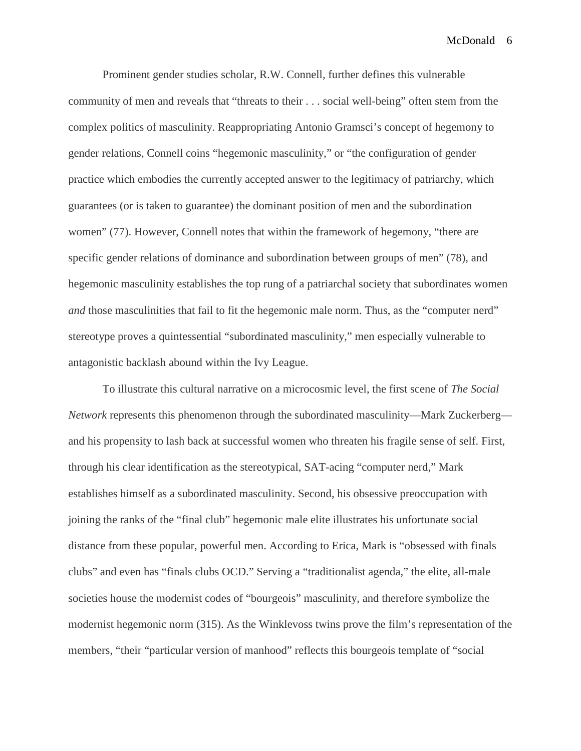Prominent gender studies scholar, R.W. Connell, further defines this vulnerable community of men and reveals that "threats to their . . . social well-being" often stem from the complex politics of masculinity. Reappropriating Antonio Gramsci's concept of hegemony to gender relations, Connell coins "hegemonic masculinity," or "the configuration of gender practice which embodies the currently accepted answer to the legitimacy of patriarchy, which guarantees (or is taken to guarantee) the dominant position of men and the subordination women" (77). However, Connell notes that within the framework of hegemony, "there are specific gender relations of dominance and subordination between groups of men" (78), and hegemonic masculinity establishes the top rung of a patriarchal society that subordinates women *and* those masculinities that fail to fit the hegemonic male norm. Thus, as the "computer nerd" stereotype proves a quintessential "subordinated masculinity," men especially vulnerable to antagonistic backlash abound within the Ivy League.

To illustrate this cultural narrative on a microcosmic level, the first scene of *The Social Network* represents this phenomenon through the subordinated masculinity—Mark Zuckerberg and his propensity to lash back at successful women who threaten his fragile sense of self. First, through his clear identification as the stereotypical, SAT-acing "computer nerd," Mark establishes himself as a subordinated masculinity. Second, his obsessive preoccupation with joining the ranks of the "final club" hegemonic male elite illustrates his unfortunate social distance from these popular, powerful men. According to Erica, Mark is "obsessed with finals clubs" and even has "finals clubs OCD." Serving a "traditionalist agenda," the elite, all-male societies house the modernist codes of "bourgeois" masculinity, and therefore symbolize the modernist hegemonic norm (315). As the Winklevoss twins prove the film's representation of the members, "their "particular version of manhood" reflects this bourgeois template of "social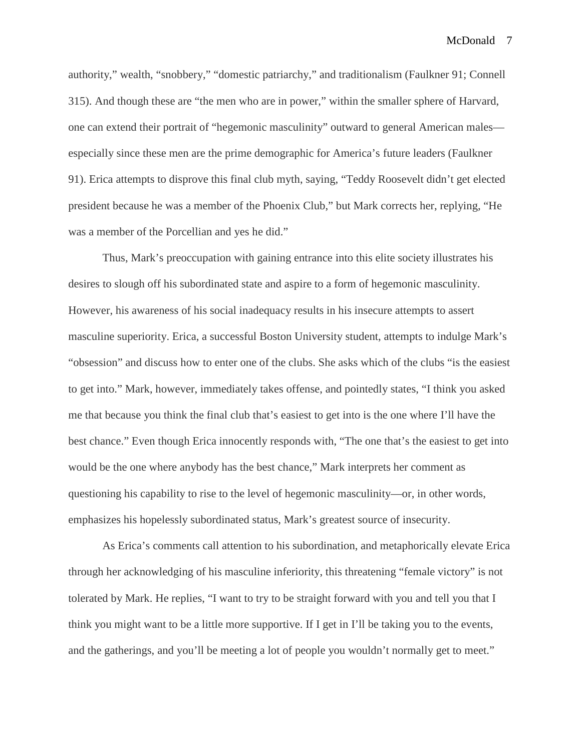authority," wealth, "snobbery," "domestic patriarchy," and traditionalism (Faulkner 91; Connell 315). And though these are "the men who are in power," within the smaller sphere of Harvard, one can extend their portrait of "hegemonic masculinity" outward to general American males especially since these men are the prime demographic for America's future leaders (Faulkner 91). Erica attempts to disprove this final club myth, saying, "Teddy Roosevelt didn't get elected president because he was a member of the Phoenix Club," but Mark corrects her, replying, "He was a member of the Porcellian and yes he did."

Thus, Mark's preoccupation with gaining entrance into this elite society illustrates his desires to slough off his subordinated state and aspire to a form of hegemonic masculinity. However, his awareness of his social inadequacy results in his insecure attempts to assert masculine superiority. Erica, a successful Boston University student, attempts to indulge Mark's "obsession" and discuss how to enter one of the clubs. She asks which of the clubs "is the easiest to get into." Mark, however, immediately takes offense, and pointedly states, "I think you asked me that because you think the final club that's easiest to get into is the one where I'll have the best chance." Even though Erica innocently responds with, "The one that's the easiest to get into would be the one where anybody has the best chance," Mark interprets her comment as questioning his capability to rise to the level of hegemonic masculinity—or, in other words, emphasizes his hopelessly subordinated status, Mark's greatest source of insecurity.

As Erica's comments call attention to his subordination, and metaphorically elevate Erica through her acknowledging of his masculine inferiority, this threatening "female victory" is not tolerated by Mark. He replies, "I want to try to be straight forward with you and tell you that I think you might want to be a little more supportive. If I get in I'll be taking you to the events, and the gatherings, and you'll be meeting a lot of people you wouldn't normally get to meet."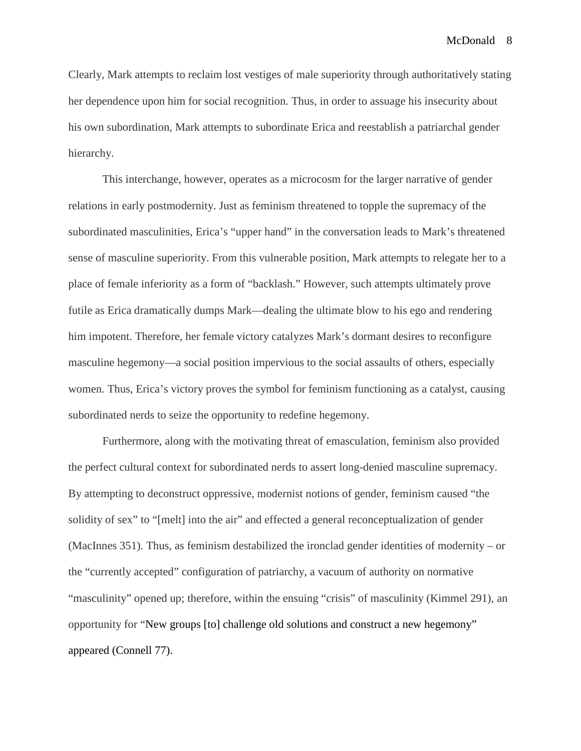Clearly, Mark attempts to reclaim lost vestiges of male superiority through authoritatively stating her dependence upon him for social recognition. Thus, in order to assuage his insecurity about his own subordination, Mark attempts to subordinate Erica and reestablish a patriarchal gender hierarchy.

This interchange, however, operates as a microcosm for the larger narrative of gender relations in early postmodernity. Just as feminism threatened to topple the supremacy of the subordinated masculinities, Erica's "upper hand" in the conversation leads to Mark's threatened sense of masculine superiority. From this vulnerable position, Mark attempts to relegate her to a place of female inferiority as a form of "backlash." However, such attempts ultimately prove futile as Erica dramatically dumps Mark—dealing the ultimate blow to his ego and rendering him impotent. Therefore, her female victory catalyzes Mark's dormant desires to reconfigure masculine hegemony—a social position impervious to the social assaults of others, especially women. Thus, Erica's victory proves the symbol for feminism functioning as a catalyst, causing subordinated nerds to seize the opportunity to redefine hegemony.

Furthermore, along with the motivating threat of emasculation, feminism also provided the perfect cultural context for subordinated nerds to assert long-denied masculine supremacy. By attempting to deconstruct oppressive, modernist notions of gender, feminism caused "the solidity of sex" to "[melt] into the air" and effected a general reconceptualization of gender (MacInnes 351). Thus, as feminism destabilized the ironclad gender identities of modernity – or the "currently accepted" configuration of patriarchy, a vacuum of authority on normative "masculinity" opened up; therefore, within the ensuing "crisis" of masculinity (Kimmel 291), an opportunity for "New groups [to] challenge old solutions and construct a new hegemony" appeared (Connell 77).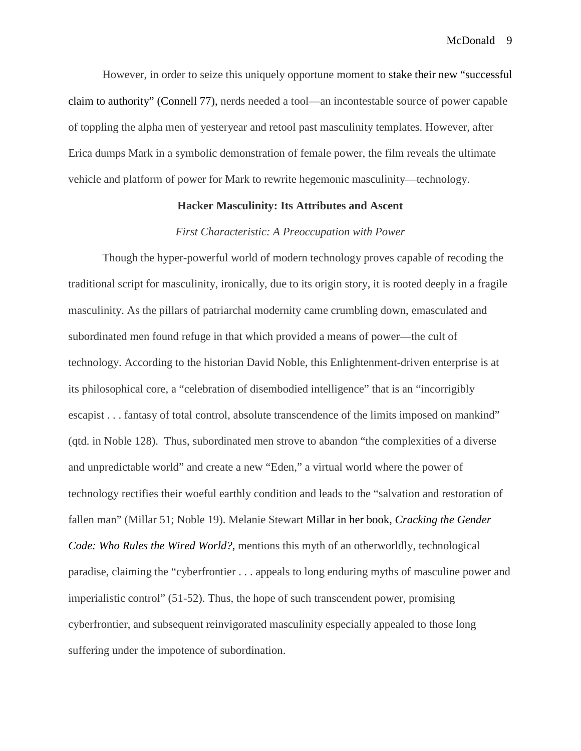However, in order to seize this uniquely opportune moment to stake their new "successful claim to authority" (Connell 77), nerds needed a tool—an incontestable source of power capable of toppling the alpha men of yesteryear and retool past masculinity templates. However, after Erica dumps Mark in a symbolic demonstration of female power, the film reveals the ultimate vehicle and platform of power for Mark to rewrite hegemonic masculinity—technology.

### **Hacker Masculinity: Its Attributes and Ascent**

### *First Characteristic: A Preoccupation with Power*

Though the hyper-powerful world of modern technology proves capable of recoding the traditional script for masculinity, ironically, due to its origin story, it is rooted deeply in a fragile masculinity. As the pillars of patriarchal modernity came crumbling down, emasculated and subordinated men found refuge in that which provided a means of power—the cult of technology. According to the historian David Noble, this Enlightenment-driven enterprise is at its philosophical core, a "celebration of disembodied intelligence" that is an "incorrigibly escapist . . . fantasy of total control, absolute transcendence of the limits imposed on mankind" (qtd. in Noble 128). Thus, subordinated men strove to abandon "the complexities of a diverse and unpredictable world" and create a new "Eden," a virtual world where the power of technology rectifies their woeful earthly condition and leads to the "salvation and restoration of fallen man" (Millar 51; Noble 19). Melanie Stewart Millar in her book, *Cracking the Gender Code: Who Rules the Wired World?,* mentions this myth of an otherworldly, technological paradise, claiming the "cyberfrontier . . . appeals to long enduring myths of masculine power and imperialistic control" (51-52). Thus, the hope of such transcendent power, promising cyberfrontier, and subsequent reinvigorated masculinity especially appealed to those long suffering under the impotence of subordination.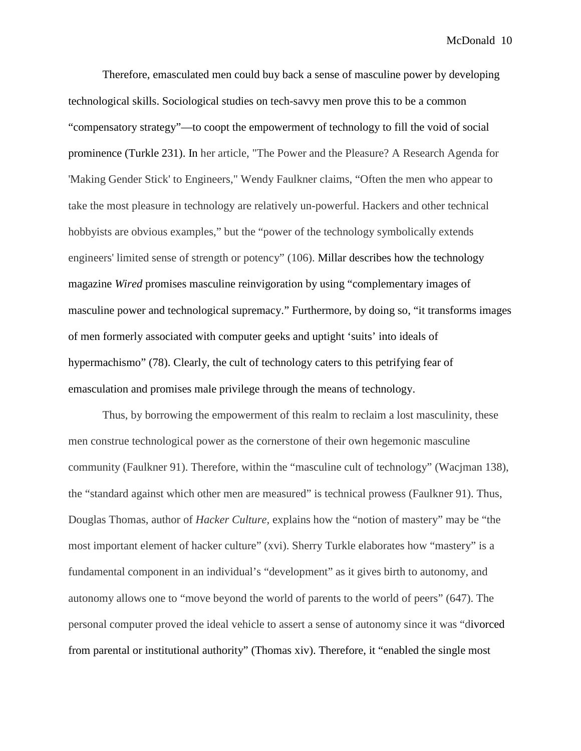Therefore, emasculated men could buy back a sense of masculine power by developing technological skills. Sociological studies on tech-savvy men prove this to be a common "compensatory strategy"—to coopt the empowerment of technology to fill the void of social prominence (Turkle 231). In her article, "The Power and the Pleasure? A Research Agenda for 'Making Gender Stick' to Engineers," Wendy Faulkner claims, "Often the men who appear to take the most pleasure in technology are relatively un-powerful. Hackers and other technical hobbyists are obvious examples," but the "power of the technology symbolically extends engineers' limited sense of strength or potency" (106). Millar describes how the technology magazine *Wired* promises masculine reinvigoration by using "complementary images of masculine power and technological supremacy." Furthermore, by doing so, "it transforms images of men formerly associated with computer geeks and uptight 'suits' into ideals of hypermachismo" (78). Clearly, the cult of technology caters to this petrifying fear of emasculation and promises male privilege through the means of technology.

Thus, by borrowing the empowerment of this realm to reclaim a lost masculinity, these men construe technological power as the cornerstone of their own hegemonic masculine community (Faulkner 91). Therefore, within the "masculine cult of technology" (Wacjman 138), the "standard against which other men are measured" is technical prowess (Faulkner 91). Thus, Douglas Thomas, author of *Hacker Culture,* explains how the "notion of mastery" may be "the most important element of hacker culture" (xvi). Sherry Turkle elaborates how "mastery" is a fundamental component in an individual's "development" as it gives birth to autonomy, and autonomy allows one to "move beyond the world of parents to the world of peers" (647). The personal computer proved the ideal vehicle to assert a sense of autonomy since it was "divorced from parental or institutional authority" (Thomas xiv). Therefore, it "enabled the single most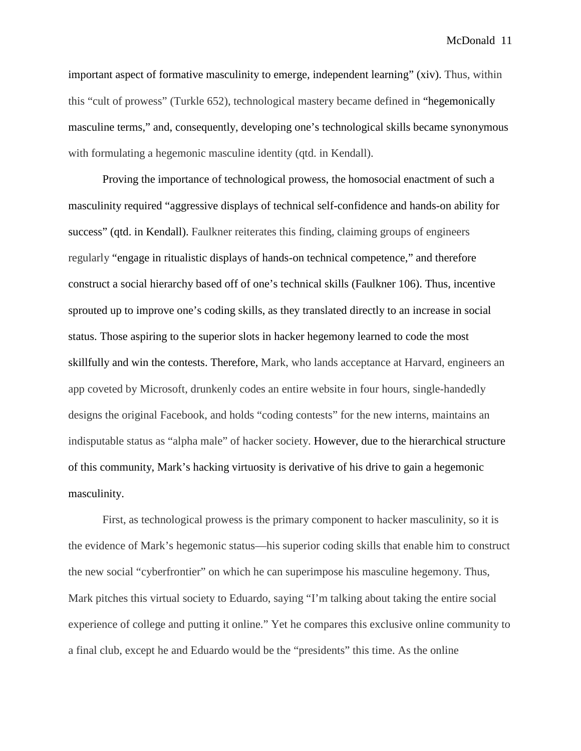important aspect of formative masculinity to emerge, independent learning" (xiv). Thus, within this "cult of prowess" (Turkle 652), technological mastery became defined in "hegemonically masculine terms," and, consequently, developing one's technological skills became synonymous with formulating a hegemonic masculine identity (qtd. in Kendall).

Proving the importance of technological prowess, the homosocial enactment of such a masculinity required "aggressive displays of technical self-confidence and hands-on ability for success" (qtd. in Kendall). Faulkner reiterates this finding, claiming groups of engineers regularly "engage in ritualistic displays of hands-on technical competence," and therefore construct a social hierarchy based off of one's technical skills (Faulkner 106). Thus, incentive sprouted up to improve one's coding skills, as they translated directly to an increase in social status. Those aspiring to the superior slots in hacker hegemony learned to code the most skillfully and win the contests. Therefore, Mark, who lands acceptance at Harvard, engineers an app coveted by Microsoft, drunkenly codes an entire website in four hours, single-handedly designs the original Facebook, and holds "coding contests" for the new interns, maintains an indisputable status as "alpha male" of hacker society. However, due to the hierarchical structure of this community, Mark's hacking virtuosity is derivative of his drive to gain a hegemonic masculinity.

First, as technological prowess is the primary component to hacker masculinity, so it is the evidence of Mark's hegemonic status—his superior coding skills that enable him to construct the new social "cyberfrontier" on which he can superimpose his masculine hegemony. Thus, Mark pitches this virtual society to Eduardo, saying "I'm talking about taking the entire social experience of college and putting it online." Yet he compares this exclusive online community to a final club, except he and Eduardo would be the "presidents" this time. As the online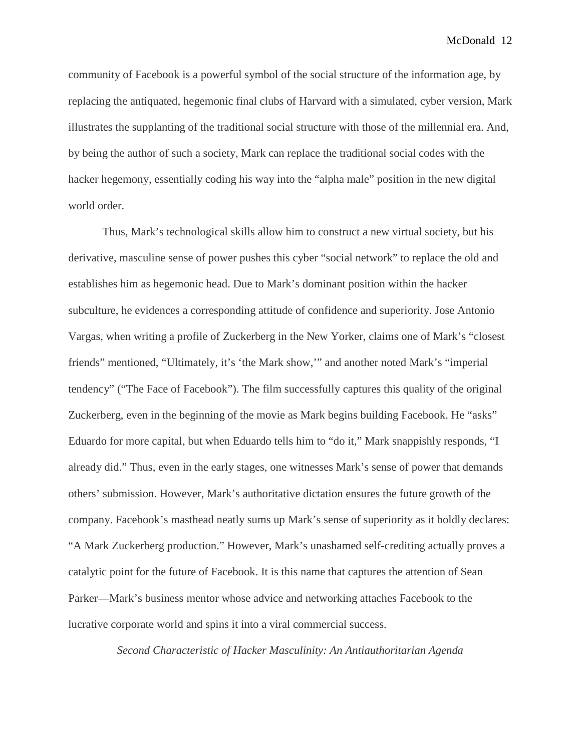community of Facebook is a powerful symbol of the social structure of the information age, by replacing the antiquated, hegemonic final clubs of Harvard with a simulated, cyber version, Mark illustrates the supplanting of the traditional social structure with those of the millennial era. And, by being the author of such a society, Mark can replace the traditional social codes with the hacker hegemony, essentially coding his way into the "alpha male" position in the new digital world order.

Thus, Mark's technological skills allow him to construct a new virtual society, but his derivative, masculine sense of power pushes this cyber "social network" to replace the old and establishes him as hegemonic head. Due to Mark's dominant position within the hacker subculture, he evidences a corresponding attitude of confidence and superiority. Jose Antonio Vargas, when writing a profile of Zuckerberg in the New Yorker, claims one of Mark's "closest friends" mentioned, "Ultimately, it's 'the Mark show,'" and another noted Mark's "imperial tendency" ("The Face of Facebook"). The film successfully captures this quality of the original Zuckerberg, even in the beginning of the movie as Mark begins building Facebook. He "asks" Eduardo for more capital, but when Eduardo tells him to "do it," Mark snappishly responds, "I already did." Thus, even in the early stages, one witnesses Mark's sense of power that demands others' submission. However, Mark's authoritative dictation ensures the future growth of the company. Facebook's masthead neatly sums up Mark's sense of superiority as it boldly declares: "A Mark Zuckerberg production." However, Mark's unashamed self-crediting actually proves a catalytic point for the future of Facebook. It is this name that captures the attention of Sean Parker—Mark's business mentor whose advice and networking attaches Facebook to the lucrative corporate world and spins it into a viral commercial success.

*Second Characteristic of Hacker Masculinity: An Antiauthoritarian Agenda*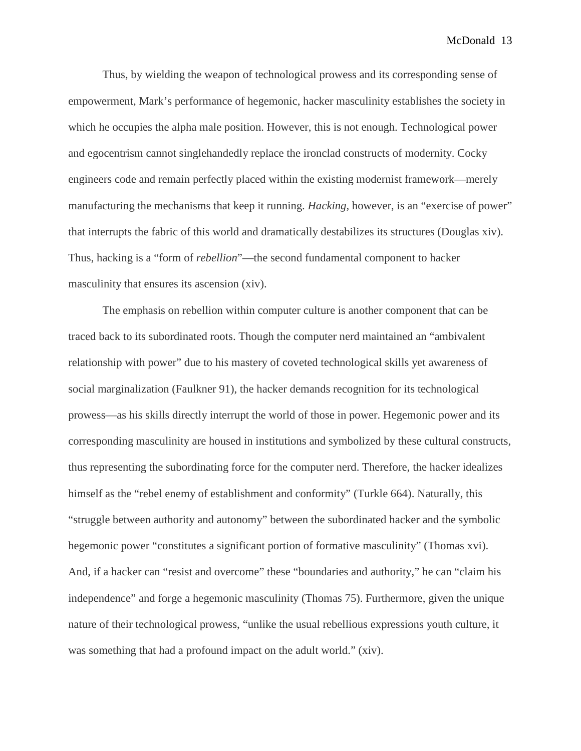Thus, by wielding the weapon of technological prowess and its corresponding sense of empowerment, Mark's performance of hegemonic, hacker masculinity establishes the society in which he occupies the alpha male position. However, this is not enough. Technological power and egocentrism cannot singlehandedly replace the ironclad constructs of modernity. Cocky engineers code and remain perfectly placed within the existing modernist framework—merely manufacturing the mechanisms that keep it running. *Hacking,* however, is an "exercise of power" that interrupts the fabric of this world and dramatically destabilizes its structures (Douglas xiv). Thus, hacking is a "form of *rebellion*"—the second fundamental component to hacker masculinity that ensures its ascension (xiv).

The emphasis on rebellion within computer culture is another component that can be traced back to its subordinated roots. Though the computer nerd maintained an "ambivalent relationship with power" due to his mastery of coveted technological skills yet awareness of social marginalization (Faulkner 91), the hacker demands recognition for its technological prowess—as his skills directly interrupt the world of those in power. Hegemonic power and its corresponding masculinity are housed in institutions and symbolized by these cultural constructs, thus representing the subordinating force for the computer nerd. Therefore, the hacker idealizes himself as the "rebel enemy of establishment and conformity" (Turkle 664). Naturally, this "struggle between authority and autonomy" between the subordinated hacker and the symbolic hegemonic power "constitutes a significant portion of formative masculinity" (Thomas xvi). And, if a hacker can "resist and overcome" these "boundaries and authority," he can "claim his independence" and forge a hegemonic masculinity (Thomas 75). Furthermore, given the unique nature of their technological prowess, "unlike the usual rebellious expressions youth culture, it was something that had a profound impact on the adult world." (xiv).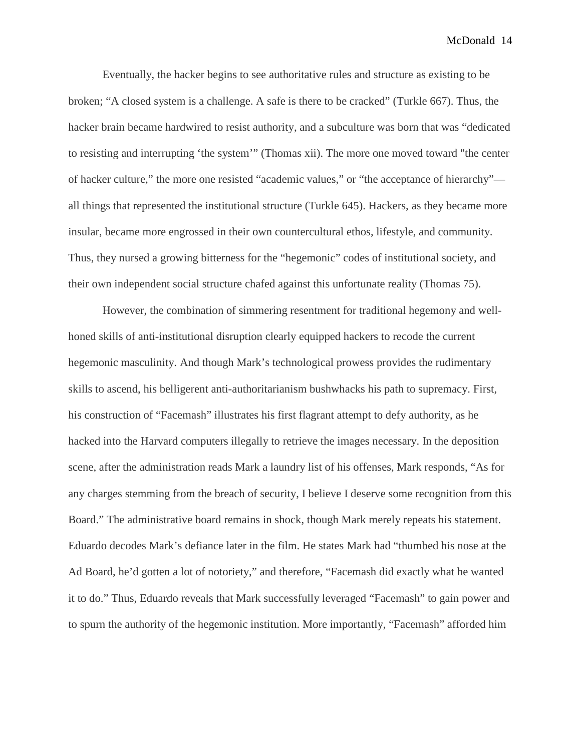Eventually, the hacker begins to see authoritative rules and structure as existing to be broken; "A closed system is a challenge. A safe is there to be cracked" (Turkle 667). Thus, the hacker brain became hardwired to resist authority, and a subculture was born that was "dedicated to resisting and interrupting 'the system'" (Thomas xii). The more one moved toward "the center of hacker culture," the more one resisted "academic values," or "the acceptance of hierarchy" all things that represented the institutional structure (Turkle 645). Hackers, as they became more insular, became more engrossed in their own countercultural ethos, lifestyle, and community. Thus, they nursed a growing bitterness for the "hegemonic" codes of institutional society, and their own independent social structure chafed against this unfortunate reality (Thomas 75).

However, the combination of simmering resentment for traditional hegemony and wellhoned skills of anti-institutional disruption clearly equipped hackers to recode the current hegemonic masculinity. And though Mark's technological prowess provides the rudimentary skills to ascend, his belligerent anti-authoritarianism bushwhacks his path to supremacy. First, his construction of "Facemash" illustrates his first flagrant attempt to defy authority, as he hacked into the Harvard computers illegally to retrieve the images necessary. In the deposition scene, after the administration reads Mark a laundry list of his offenses, Mark responds, "As for any charges stemming from the breach of security, I believe I deserve some recognition from this Board." The administrative board remains in shock, though Mark merely repeats his statement. Eduardo decodes Mark's defiance later in the film. He states Mark had "thumbed his nose at the Ad Board, he'd gotten a lot of notoriety," and therefore, "Facemash did exactly what he wanted it to do." Thus, Eduardo reveals that Mark successfully leveraged "Facemash" to gain power and to spurn the authority of the hegemonic institution. More importantly, "Facemash" afforded him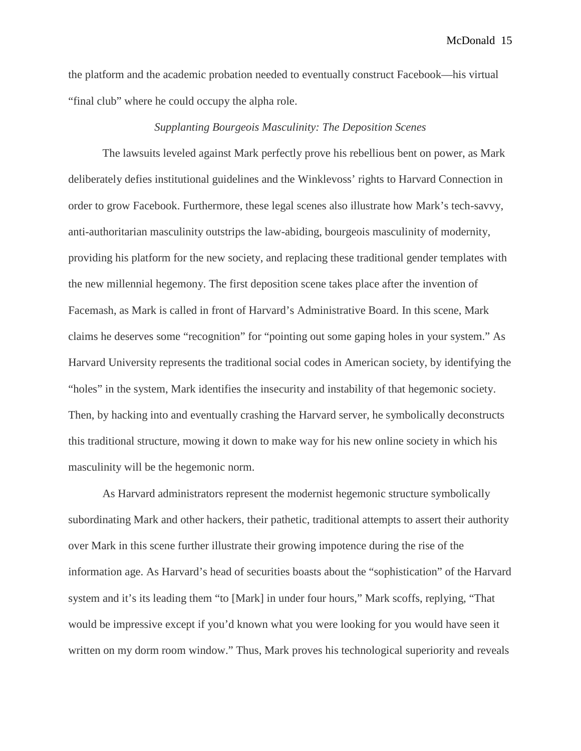the platform and the academic probation needed to eventually construct Facebook—his virtual "final club" where he could occupy the alpha role.

### *Supplanting Bourgeois Masculinity: The Deposition Scenes*

The lawsuits leveled against Mark perfectly prove his rebellious bent on power, as Mark deliberately defies institutional guidelines and the Winklevoss' rights to Harvard Connection in order to grow Facebook. Furthermore, these legal scenes also illustrate how Mark's tech-savvy, anti-authoritarian masculinity outstrips the law-abiding, bourgeois masculinity of modernity, providing his platform for the new society, and replacing these traditional gender templates with the new millennial hegemony. The first deposition scene takes place after the invention of Facemash, as Mark is called in front of Harvard's Administrative Board. In this scene, Mark claims he deserves some "recognition" for "pointing out some gaping holes in your system." As Harvard University represents the traditional social codes in American society, by identifying the "holes" in the system, Mark identifies the insecurity and instability of that hegemonic society. Then, by hacking into and eventually crashing the Harvard server, he symbolically deconstructs this traditional structure, mowing it down to make way for his new online society in which his masculinity will be the hegemonic norm.

As Harvard administrators represent the modernist hegemonic structure symbolically subordinating Mark and other hackers, their pathetic, traditional attempts to assert their authority over Mark in this scene further illustrate their growing impotence during the rise of the information age. As Harvard's head of securities boasts about the "sophistication" of the Harvard system and it's its leading them "to [Mark] in under four hours," Mark scoffs, replying, "That would be impressive except if you'd known what you were looking for you would have seen it written on my dorm room window." Thus, Mark proves his technological superiority and reveals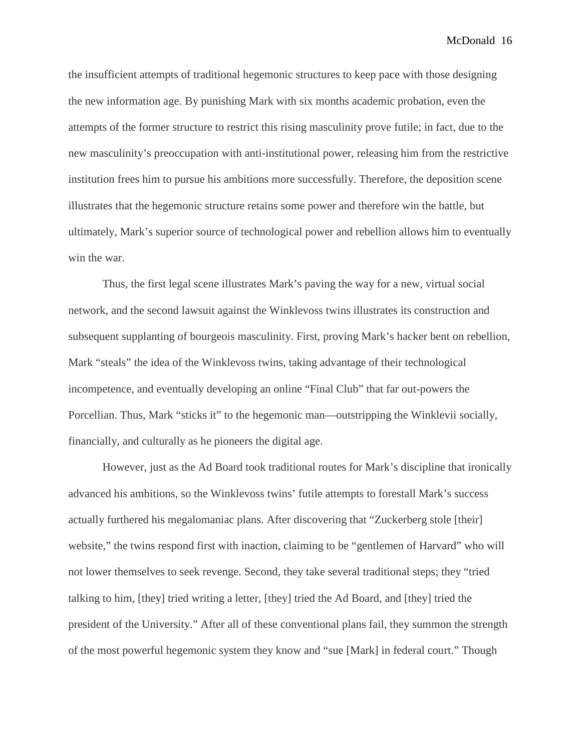the insufficient attempts of traditional hegemonic structures to keep pace with those designing the new information age. By punishing Mark with six months academic probation, even the attempts of the former structure to restrict this rising masculinity prove futile; in fact, due to the new masculinity's preoccupation with anti-institutional power, releasing him from the restrictive institution frees him to pursue his ambitions more successfully. Therefore, the deposition scene illustrates that the hegemonic structure retains some power and therefore win the battle, but ultimately, Mark's superior source of technological power and rebellion allows him to eventually win the war.

Thus, the first legal scene illustrates Mark's paving the way for a new, virtual social network, and the second lawsuit against the Winklevoss twins illustrates its construction and subsequent supplanting of bourgeois masculinity. First, proving Mark's hacker bent on rebellion, Mark "steals" the idea of the Winklevoss twins, taking advantage of their technological incompetence, and eventually developing an online "Final Club" that far out-powers the Porcellian. Thus, Mark "sticks it" to the hegemonic man—outstripping the Winklevii socially, financially, and culturally as he pioneers the digital age.

However, just as the Ad Board took traditional routes for Mark's discipline that ironically advanced his ambitions, so the Winklevoss twins' futile attempts to forestall Mark's success actually furthered his megalomaniac plans. After discovering that "Zuckerberg stole [their] website," the twins respond first with inaction, claiming to be "gentlemen of Harvard" who will not lower themselves to seek revenge. Second, they take several traditional steps; they "tried talking to him, [they] tried writing a letter, [they] tried the Ad Board, and [they] tried the president of the University." After all of these conventional plans fail, they summon the strength of the most powerful hegemonic system they know and "sue [Mark] in federal court." Though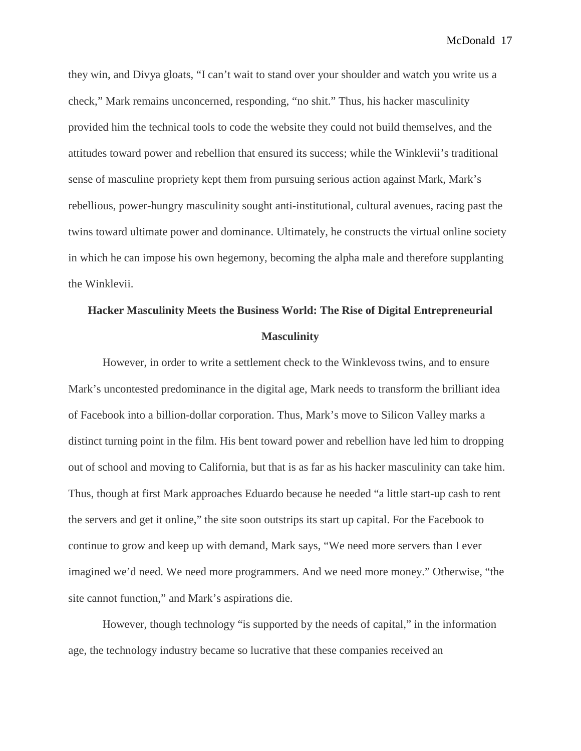they win, and Divya gloats, "I can't wait to stand over your shoulder and watch you write us a check," Mark remains unconcerned, responding, "no shit." Thus, his hacker masculinity provided him the technical tools to code the website they could not build themselves, and the attitudes toward power and rebellion that ensured its success; while the Winklevii's traditional sense of masculine propriety kept them from pursuing serious action against Mark, Mark's rebellious, power-hungry masculinity sought anti-institutional, cultural avenues, racing past the twins toward ultimate power and dominance. Ultimately, he constructs the virtual online society in which he can impose his own hegemony, becoming the alpha male and therefore supplanting the Winklevii.

## **Hacker Masculinity Meets the Business World: The Rise of Digital Entrepreneurial Masculinity**

However, in order to write a settlement check to the Winklevoss twins, and to ensure Mark's uncontested predominance in the digital age, Mark needs to transform the brilliant idea of Facebook into a billion-dollar corporation. Thus, Mark's move to Silicon Valley marks a distinct turning point in the film. His bent toward power and rebellion have led him to dropping out of school and moving to California, but that is as far as his hacker masculinity can take him. Thus, though at first Mark approaches Eduardo because he needed "a little start-up cash to rent the servers and get it online," the site soon outstrips its start up capital. For the Facebook to continue to grow and keep up with demand, Mark says, "We need more servers than I ever imagined we'd need. We need more programmers. And we need more money." Otherwise, "the site cannot function," and Mark's aspirations die.

However, though technology "is supported by the needs of capital," in the information age, the technology industry became so lucrative that these companies received an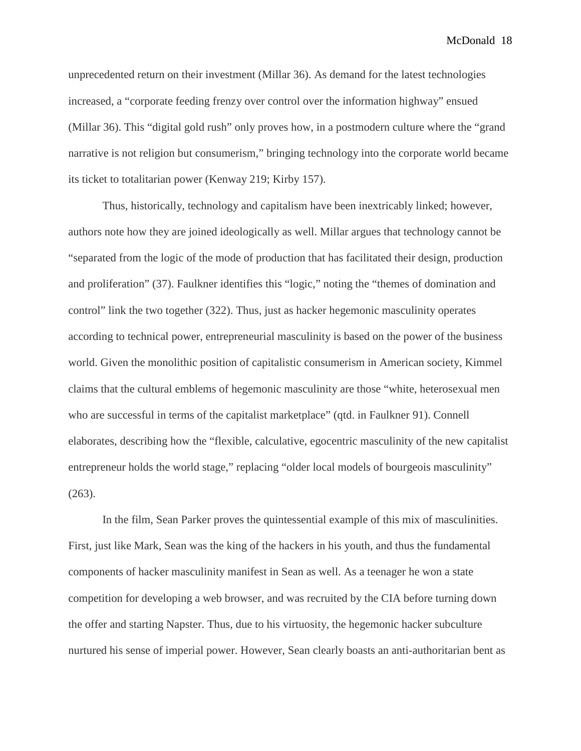unprecedented return on their investment (Millar 36). As demand for the latest technologies increased, a "corporate feeding frenzy over control over the information highway" ensued (Millar 36). This "digital gold rush" only proves how, in a postmodern culture where the "grand narrative is not religion but consumerism," bringing technology into the corporate world became its ticket to totalitarian power (Kenway 219; Kirby 157).

Thus, historically, technology and capitalism have been inextricably linked; however, authors note how they are joined ideologically as well. Millar argues that technology cannot be "separated from the logic of the mode of production that has facilitated their design, production and proliferation" (37). Faulkner identifies this "logic," noting the "themes of domination and control" link the two together (322). Thus, just as hacker hegemonic masculinity operates according to technical power, entrepreneurial masculinity is based on the power of the business world. Given the monolithic position of capitalistic consumerism in American society, Kimmel claims that the cultural emblems of hegemonic masculinity are those "white, heterosexual men who are successful in terms of the capitalist marketplace" (qtd. in Faulkner 91). Connell elaborates, describing how the "flexible, calculative, egocentric masculinity of the new capitalist entrepreneur holds the world stage," replacing "older local models of bourgeois masculinity" (263).

In the film, Sean Parker proves the quintessential example of this mix of masculinities. First, just like Mark, Sean was the king of the hackers in his youth, and thus the fundamental components of hacker masculinity manifest in Sean as well. As a teenager he won a state competition for developing a web browser, and was recruited by the CIA before turning down the offer and starting Napster. Thus, due to his virtuosity, the hegemonic hacker subculture nurtured his sense of imperial power. However, Sean clearly boasts an anti-authoritarian bent as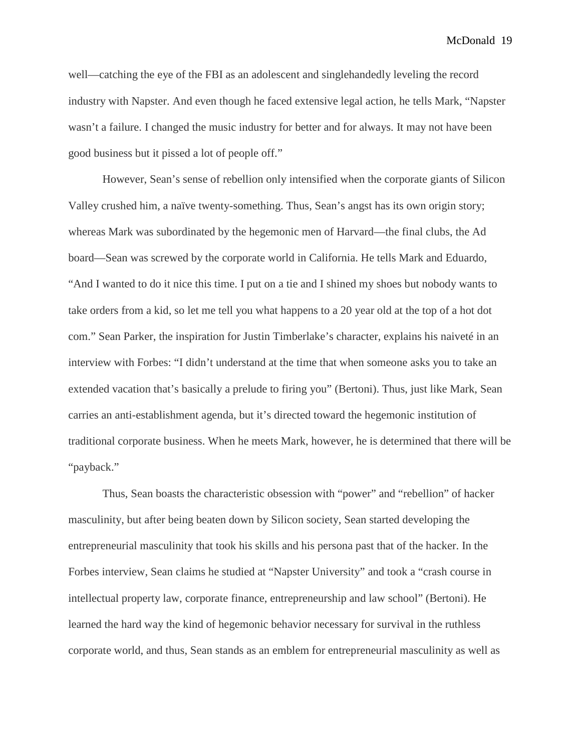well—catching the eye of the FBI as an adolescent and singlehandedly leveling the record industry with Napster. And even though he faced extensive legal action, he tells Mark, "Napster wasn't a failure. I changed the music industry for better and for always. It may not have been good business but it pissed a lot of people off."

However, Sean's sense of rebellion only intensified when the corporate giants of Silicon Valley crushed him, a naïve twenty-something. Thus, Sean's angst has its own origin story; whereas Mark was subordinated by the hegemonic men of Harvard—the final clubs, the Ad board—Sean was screwed by the corporate world in California. He tells Mark and Eduardo, "And I wanted to do it nice this time. I put on a tie and I shined my shoes but nobody wants to take orders from a kid, so let me tell you what happens to a 20 year old at the top of a hot dot com." Sean Parker, the inspiration for Justin Timberlake's character, explains his naiveté in an interview with Forbes: "I didn't understand at the time that when someone asks you to take an extended vacation that's basically a prelude to firing you" (Bertoni). Thus, just like Mark, Sean carries an anti-establishment agenda, but it's directed toward the hegemonic institution of traditional corporate business. When he meets Mark, however, he is determined that there will be "payback."

Thus, Sean boasts the characteristic obsession with "power" and "rebellion" of hacker masculinity, but after being beaten down by Silicon society, Sean started developing the entrepreneurial masculinity that took his skills and his persona past that of the hacker. In the Forbes interview, Sean claims he studied at "Napster University" and took a "crash course in intellectual property law, corporate finance, entrepreneurship and law school" (Bertoni). He learned the hard way the kind of hegemonic behavior necessary for survival in the ruthless corporate world, and thus, Sean stands as an emblem for entrepreneurial masculinity as well as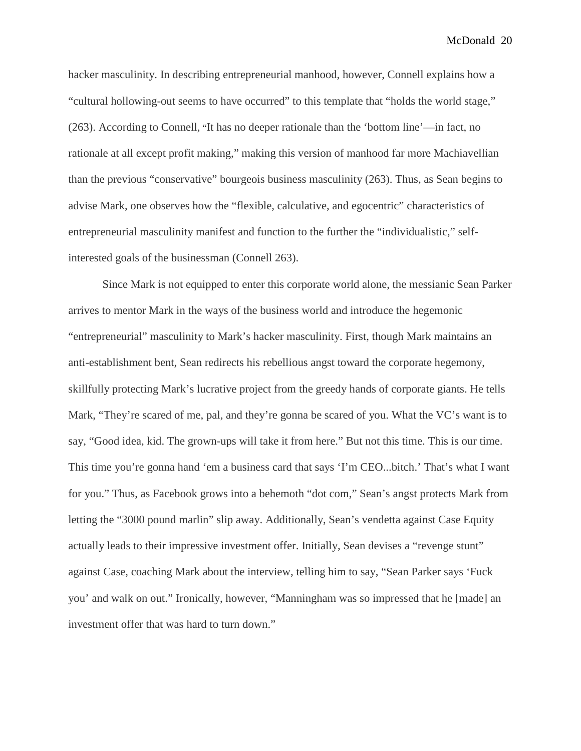hacker masculinity. In describing entrepreneurial manhood, however, Connell explains how a "cultural hollowing-out seems to have occurred" to this template that "holds the world stage," (263). According to Connell, "It has no deeper rationale than the 'bottom line'—in fact, no rationale at all except profit making," making this version of manhood far more Machiavellian than the previous "conservative" bourgeois business masculinity (263). Thus, as Sean begins to advise Mark, one observes how the "flexible, calculative, and egocentric" characteristics of entrepreneurial masculinity manifest and function to the further the "individualistic," selfinterested goals of the businessman (Connell 263).

Since Mark is not equipped to enter this corporate world alone, the messianic Sean Parker arrives to mentor Mark in the ways of the business world and introduce the hegemonic "entrepreneurial" masculinity to Mark's hacker masculinity. First, though Mark maintains an anti-establishment bent, Sean redirects his rebellious angst toward the corporate hegemony, skillfully protecting Mark's lucrative project from the greedy hands of corporate giants. He tells Mark, "They're scared of me, pal, and they're gonna be scared of you. What the VC's want is to say, "Good idea, kid. The grown-ups will take it from here." But not this time. This is our time. This time you're gonna hand 'em a business card that says 'I'm CEO...bitch.' That's what I want for you." Thus, as Facebook grows into a behemoth "dot com," Sean's angst protects Mark from letting the "3000 pound marlin" slip away. Additionally, Sean's vendetta against Case Equity actually leads to their impressive investment offer. Initially, Sean devises a "revenge stunt" against Case, coaching Mark about the interview, telling him to say, "Sean Parker says 'Fuck you' and walk on out." Ironically, however, "Manningham was so impressed that he [made] an investment offer that was hard to turn down."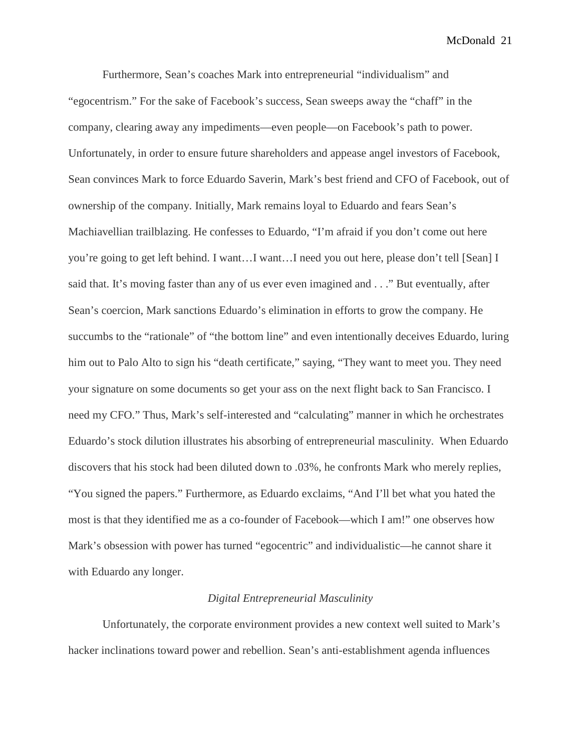Furthermore, Sean's coaches Mark into entrepreneurial "individualism" and "egocentrism." For the sake of Facebook's success, Sean sweeps away the "chaff" in the company, clearing away any impediments—even people—on Facebook's path to power. Unfortunately, in order to ensure future shareholders and appease angel investors of Facebook, Sean convinces Mark to force Eduardo Saverin, Mark's best friend and CFO of Facebook, out of ownership of the company. Initially, Mark remains loyal to Eduardo and fears Sean's Machiavellian trailblazing. He confesses to Eduardo, "I'm afraid if you don't come out here you're going to get left behind. I want…I want…I need you out here, please don't tell [Sean] I said that. It's moving faster than any of us ever even imagined and . . ." But eventually, after Sean's coercion, Mark sanctions Eduardo's elimination in efforts to grow the company. He succumbs to the "rationale" of "the bottom line" and even intentionally deceives Eduardo, luring him out to Palo Alto to sign his "death certificate," saying, "They want to meet you. They need your signature on some documents so get your ass on the next flight back to San Francisco. I need my CFO." Thus, Mark's self-interested and "calculating" manner in which he orchestrates Eduardo's stock dilution illustrates his absorbing of entrepreneurial masculinity. When Eduardo discovers that his stock had been diluted down to .03%, he confronts Mark who merely replies, "You signed the papers." Furthermore, as Eduardo exclaims, "And I'll bet what you hated the most is that they identified me as a co-founder of Facebook—which I am!" one observes how Mark's obsession with power has turned "egocentric" and individualistic—he cannot share it with Eduardo any longer.

### *Digital Entrepreneurial Masculinity*

Unfortunately, the corporate environment provides a new context well suited to Mark's hacker inclinations toward power and rebellion. Sean's anti-establishment agenda influences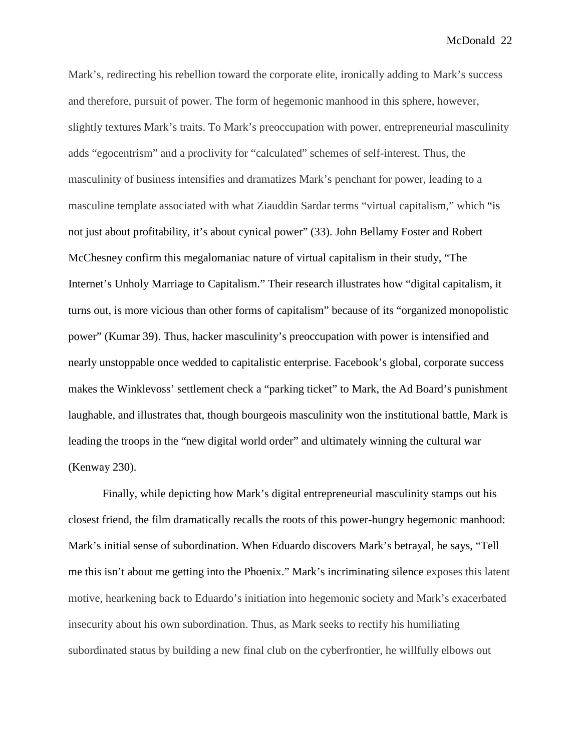Mark's, redirecting his rebellion toward the corporate elite, ironically adding to Mark's success and therefore, pursuit of power. The form of hegemonic manhood in this sphere, however, slightly textures Mark's traits. To Mark's preoccupation with power, entrepreneurial masculinity adds "egocentrism" and a proclivity for "calculated" schemes of self-interest. Thus, the masculinity of business intensifies and dramatizes Mark's penchant for power, leading to a masculine template associated with what Ziauddin Sardar terms "virtual capitalism," which "is not just about profitability, it's about cynical power" (33). John Bellamy Foster and Robert McChesney confirm this megalomaniac nature of virtual capitalism in their study, "The Internet's Unholy Marriage to Capitalism." Their research illustrates how "digital capitalism, it turns out, is more vicious than other forms of capitalism" because of its "organized monopolistic power" (Kumar 39). Thus, hacker masculinity's preoccupation with power is intensified and nearly unstoppable once wedded to capitalistic enterprise. Facebook's global, corporate success makes the Winklevoss' settlement check a "parking ticket" to Mark, the Ad Board's punishment laughable, and illustrates that, though bourgeois masculinity won the institutional battle, Mark is leading the troops in the "new digital world order" and ultimately winning the cultural war (Kenway 230).

Finally, while depicting how Mark's digital entrepreneurial masculinity stamps out his closest friend, the film dramatically recalls the roots of this power-hungry hegemonic manhood: Mark's initial sense of subordination. When Eduardo discovers Mark's betrayal, he says, "Tell me this isn't about me getting into the Phoenix." Mark's incriminating silence exposes this latent motive, hearkening back to Eduardo's initiation into hegemonic society and Mark's exacerbated insecurity about his own subordination. Thus, as Mark seeks to rectify his humiliating subordinated status by building a new final club on the cyberfrontier, he willfully elbows out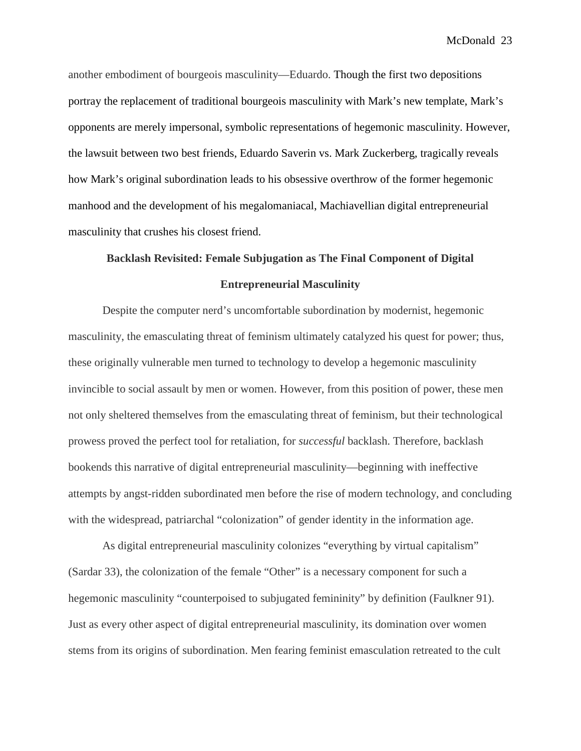another embodiment of bourgeois masculinity—Eduardo. Though the first two depositions portray the replacement of traditional bourgeois masculinity with Mark's new template, Mark's opponents are merely impersonal, symbolic representations of hegemonic masculinity. However, the lawsuit between two best friends, Eduardo Saverin vs. Mark Zuckerberg, tragically reveals how Mark's original subordination leads to his obsessive overthrow of the former hegemonic manhood and the development of his megalomaniacal, Machiavellian digital entrepreneurial masculinity that crushes his closest friend.

# **Backlash Revisited: Female Subjugation as The Final Component of Digital Entrepreneurial Masculinity**

Despite the computer nerd's uncomfortable subordination by modernist, hegemonic masculinity, the emasculating threat of feminism ultimately catalyzed his quest for power; thus, these originally vulnerable men turned to technology to develop a hegemonic masculinity invincible to social assault by men or women. However, from this position of power, these men not only sheltered themselves from the emasculating threat of feminism, but their technological prowess proved the perfect tool for retaliation, for *successful* backlash. Therefore, backlash bookends this narrative of digital entrepreneurial masculinity—beginning with ineffective attempts by angst-ridden subordinated men before the rise of modern technology, and concluding with the widespread, patriarchal "colonization" of gender identity in the information age.

As digital entrepreneurial masculinity colonizes "everything by virtual capitalism" (Sardar 33), the colonization of the female "Other" is a necessary component for such a hegemonic masculinity "counterpoised to subjugated femininity" by definition (Faulkner 91). Just as every other aspect of digital entrepreneurial masculinity, its domination over women stems from its origins of subordination. Men fearing feminist emasculation retreated to the cult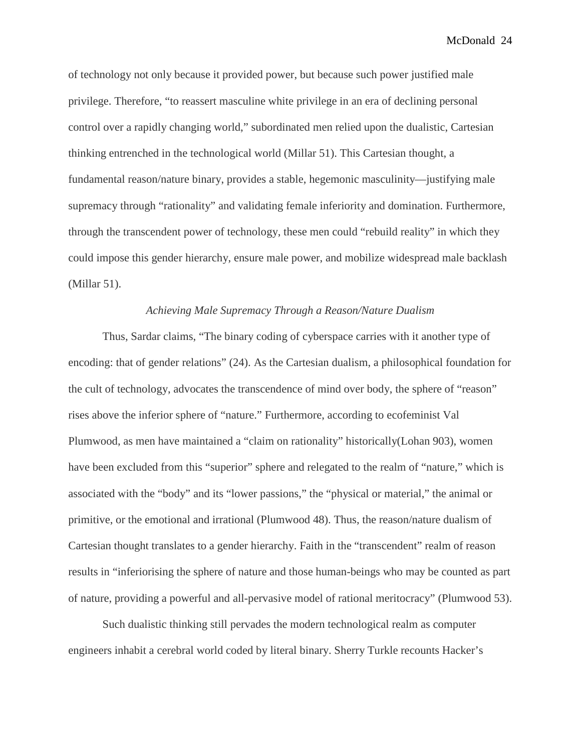of technology not only because it provided power, but because such power justified male privilege. Therefore, "to reassert masculine white privilege in an era of declining personal control over a rapidly changing world," subordinated men relied upon the dualistic, Cartesian thinking entrenched in the technological world (Millar 51). This Cartesian thought, a fundamental reason/nature binary, provides a stable, hegemonic masculinity—justifying male supremacy through "rationality" and validating female inferiority and domination. Furthermore, through the transcendent power of technology, these men could "rebuild reality" in which they could impose this gender hierarchy, ensure male power, and mobilize widespread male backlash (Millar 51).

### *Achieving Male Supremacy Through a Reason/Nature Dualism*

Thus, Sardar claims, "The binary coding of cyberspace carries with it another type of encoding: that of gender relations" (24). As the Cartesian dualism, a philosophical foundation for the cult of technology, advocates the transcendence of mind over body, the sphere of "reason" rises above the inferior sphere of "nature." Furthermore, according to ecofeminist Val Plumwood, as men have maintained a "claim on rationality" historically(Lohan 903), women have been excluded from this "superior" sphere and relegated to the realm of "nature," which is associated with the "body" and its "lower passions," the "physical or material," the animal or primitive, or the emotional and irrational (Plumwood 48). Thus, the reason/nature dualism of Cartesian thought translates to a gender hierarchy. Faith in the "transcendent" realm of reason results in "inferiorising the sphere of nature and those human-beings who may be counted as part of nature, providing a powerful and all-pervasive model of rational meritocracy" (Plumwood 53).

Such dualistic thinking still pervades the modern technological realm as computer engineers inhabit a cerebral world coded by literal binary. Sherry Turkle recounts Hacker's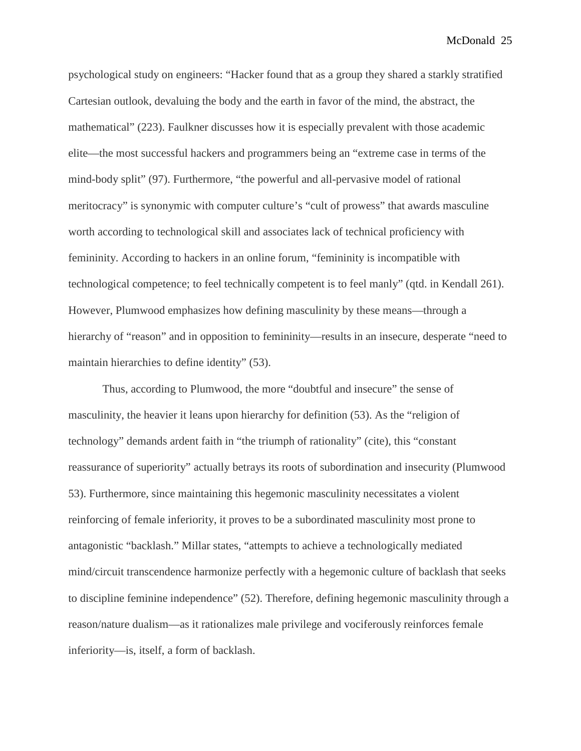psychological study on engineers: "Hacker found that as a group they shared a starkly stratified Cartesian outlook, devaluing the body and the earth in favor of the mind, the abstract, the mathematical" (223). Faulkner discusses how it is especially prevalent with those academic elite—the most successful hackers and programmers being an "extreme case in terms of the mind-body split" (97). Furthermore, "the powerful and all-pervasive model of rational meritocracy" is synonymic with computer culture's "cult of prowess" that awards masculine worth according to technological skill and associates lack of technical proficiency with femininity. According to hackers in an online forum, "femininity is incompatible with technological competence; to feel technically competent is to feel manly" (qtd. in Kendall 261). However, Plumwood emphasizes how defining masculinity by these means—through a hierarchy of "reason" and in opposition to femininity—results in an insecure, desperate "need to maintain hierarchies to define identity" (53).

Thus, according to Plumwood, the more "doubtful and insecure" the sense of masculinity, the heavier it leans upon hierarchy for definition (53). As the "religion of technology" demands ardent faith in "the triumph of rationality" (cite), this "constant reassurance of superiority" actually betrays its roots of subordination and insecurity (Plumwood 53). Furthermore, since maintaining this hegemonic masculinity necessitates a violent reinforcing of female inferiority, it proves to be a subordinated masculinity most prone to antagonistic "backlash." Millar states, "attempts to achieve a technologically mediated mind/circuit transcendence harmonize perfectly with a hegemonic culture of backlash that seeks to discipline feminine independence" (52). Therefore, defining hegemonic masculinity through a reason/nature dualism—as it rationalizes male privilege and vociferously reinforces female inferiority—is, itself, a form of backlash.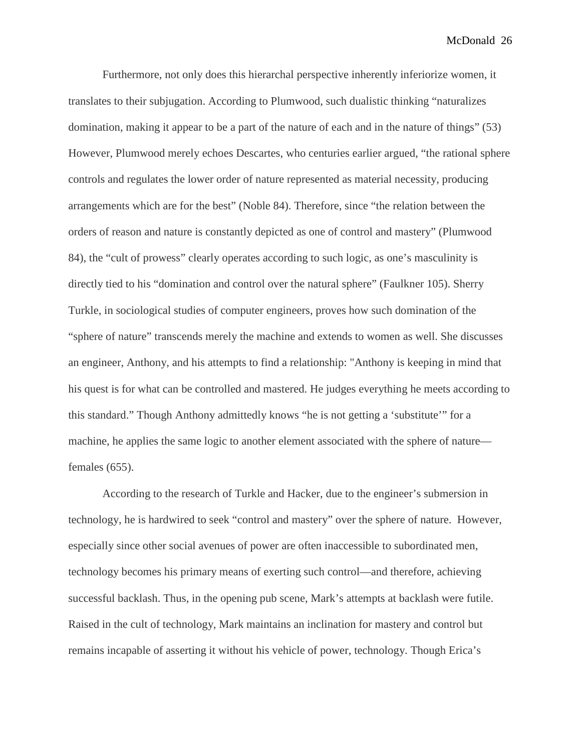Furthermore, not only does this hierarchal perspective inherently inferiorize women, it translates to their subjugation. According to Plumwood, such dualistic thinking "naturalizes domination, making it appear to be a part of the nature of each and in the nature of things" (53) However, Plumwood merely echoes Descartes, who centuries earlier argued, "the rational sphere controls and regulates the lower order of nature represented as material necessity, producing arrangements which are for the best" (Noble 84). Therefore, since "the relation between the orders of reason and nature is constantly depicted as one of control and mastery" (Plumwood 84), the "cult of prowess" clearly operates according to such logic, as one's masculinity is directly tied to his "domination and control over the natural sphere" (Faulkner 105). Sherry Turkle, in sociological studies of computer engineers, proves how such domination of the "sphere of nature" transcends merely the machine and extends to women as well. She discusses an engineer, Anthony, and his attempts to find a relationship: "Anthony is keeping in mind that his quest is for what can be controlled and mastered. He judges everything he meets according to this standard." Though Anthony admittedly knows "he is not getting a 'substitute'" for a machine, he applies the same logic to another element associated with the sphere of nature females (655).

According to the research of Turkle and Hacker, due to the engineer's submersion in technology, he is hardwired to seek "control and mastery" over the sphere of nature. However, especially since other social avenues of power are often inaccessible to subordinated men, technology becomes his primary means of exerting such control—and therefore, achieving successful backlash. Thus, in the opening pub scene, Mark's attempts at backlash were futile. Raised in the cult of technology, Mark maintains an inclination for mastery and control but remains incapable of asserting it without his vehicle of power, technology. Though Erica's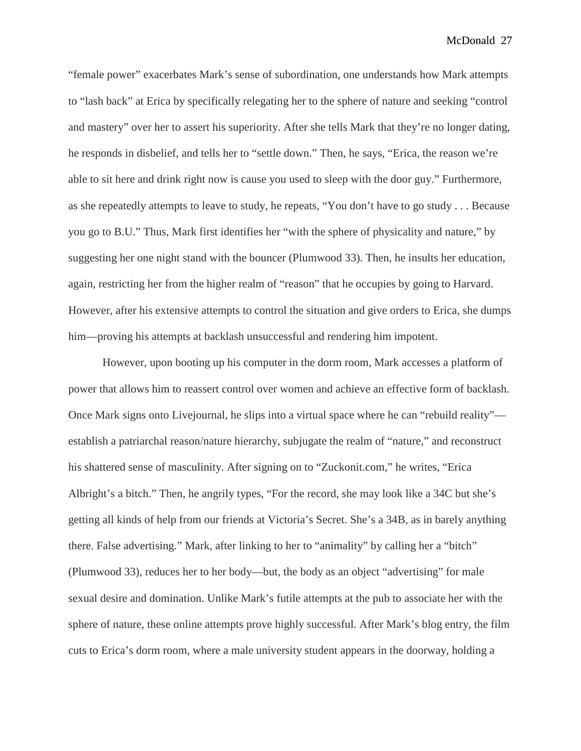"female power" exacerbates Mark's sense of subordination, one understands how Mark attempts to "lash back" at Erica by specifically relegating her to the sphere of nature and seeking "control and mastery" over her to assert his superiority. After she tells Mark that they're no longer dating, he responds in disbelief, and tells her to "settle down." Then, he says, "Erica, the reason we're able to sit here and drink right now is cause you used to sleep with the door guy." Furthermore, as she repeatedly attempts to leave to study, he repeats, "You don't have to go study . . . Because you go to B.U." Thus, Mark first identifies her "with the sphere of physicality and nature," by suggesting her one night stand with the bouncer (Plumwood 33). Then, he insults her education, again, restricting her from the higher realm of "reason" that he occupies by going to Harvard. However, after his extensive attempts to control the situation and give orders to Erica, she dumps him—proving his attempts at backlash unsuccessful and rendering him impotent.

However, upon booting up his computer in the dorm room, Mark accesses a platform of power that allows him to reassert control over women and achieve an effective form of backlash. Once Mark signs onto Livejournal, he slips into a virtual space where he can "rebuild reality" establish a patriarchal reason/nature hierarchy, subjugate the realm of "nature," and reconstruct his shattered sense of masculinity. After signing on to "Zuckonit.com," he writes, "Erica Albright's a bitch." Then, he angrily types, "For the record, she may look like a 34C but she's getting all kinds of help from our friends at Victoria's Secret. She's a 34B, as in barely anything there. False advertising." Mark, after linking to her to "animality" by calling her a "bitch" (Plumwood 33), reduces her to her body—but, the body as an object "advertising" for male sexual desire and domination. Unlike Mark's futile attempts at the pub to associate her with the sphere of nature, these online attempts prove highly successful. After Mark's blog entry, the film cuts to Erica's dorm room, where a male university student appears in the doorway, holding a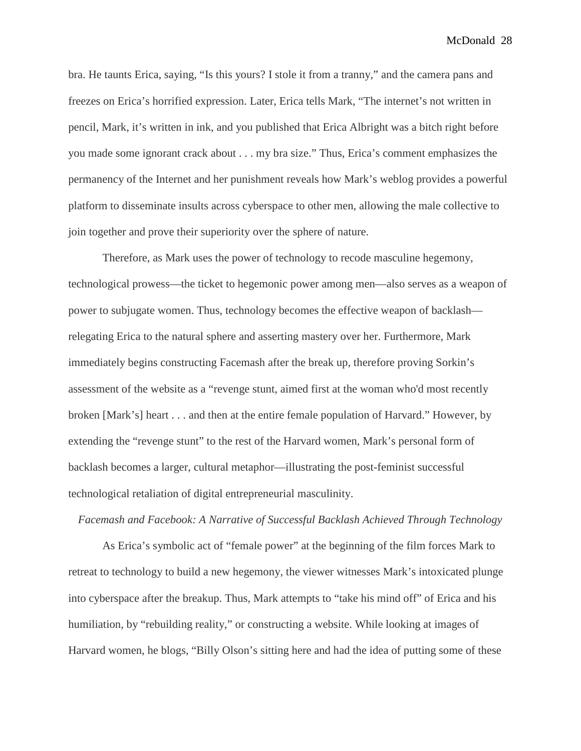bra. He taunts Erica, saying, "Is this yours? I stole it from a tranny," and the camera pans and freezes on Erica's horrified expression. Later, Erica tells Mark, "The internet's not written in pencil, Mark, it's written in ink, and you published that Erica Albright was a bitch right before you made some ignorant crack about . . . my bra size." Thus, Erica's comment emphasizes the permanency of the Internet and her punishment reveals how Mark's weblog provides a powerful platform to disseminate insults across cyberspace to other men, allowing the male collective to join together and prove their superiority over the sphere of nature.

Therefore, as Mark uses the power of technology to recode masculine hegemony, technological prowess—the ticket to hegemonic power among men—also serves as a weapon of power to subjugate women. Thus, technology becomes the effective weapon of backlash relegating Erica to the natural sphere and asserting mastery over her. Furthermore, Mark immediately begins constructing Facemash after the break up, therefore proving Sorkin's assessment of the website as a "revenge stunt, aimed first at the woman who'd most recently broken [Mark's] heart . . . and then at the entire female population of Harvard." However, by extending the "revenge stunt" to the rest of the Harvard women, Mark's personal form of backlash becomes a larger, cultural metaphor—illustrating the post-feminist successful technological retaliation of digital entrepreneurial masculinity.

### *Facemash and Facebook: A Narrative of Successful Backlash Achieved Through Technology*

As Erica's symbolic act of "female power" at the beginning of the film forces Mark to retreat to technology to build a new hegemony, the viewer witnesses Mark's intoxicated plunge into cyberspace after the breakup. Thus, Mark attempts to "take his mind off" of Erica and his humiliation, by "rebuilding reality," or constructing a website. While looking at images of Harvard women, he blogs, "Billy Olson's sitting here and had the idea of putting some of these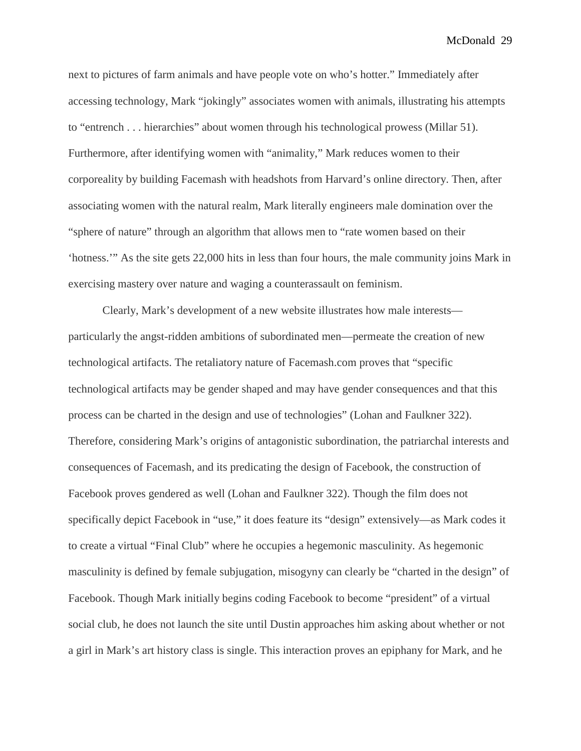next to pictures of farm animals and have people vote on who's hotter." Immediately after accessing technology, Mark "jokingly" associates women with animals, illustrating his attempts to "entrench . . . hierarchies" about women through his technological prowess (Millar 51). Furthermore, after identifying women with "animality," Mark reduces women to their corporeality by building Facemash with headshots from Harvard's online directory. Then, after associating women with the natural realm, Mark literally engineers male domination over the "sphere of nature" through an algorithm that allows men to "rate women based on their 'hotness.'" As the site gets 22,000 hits in less than four hours, the male community joins Mark in exercising mastery over nature and waging a counterassault on feminism.

Clearly, Mark's development of a new website illustrates how male interests particularly the angst-ridden ambitions of subordinated men—permeate the creation of new technological artifacts. The retaliatory nature of Facemash.com proves that "specific technological artifacts may be gender shaped and may have gender consequences and that this process can be charted in the design and use of technologies" (Lohan and Faulkner 322). Therefore, considering Mark's origins of antagonistic subordination, the patriarchal interests and consequences of Facemash, and its predicating the design of Facebook, the construction of Facebook proves gendered as well (Lohan and Faulkner 322). Though the film does not specifically depict Facebook in "use," it does feature its "design" extensively—as Mark codes it to create a virtual "Final Club" where he occupies a hegemonic masculinity. As hegemonic masculinity is defined by female subjugation, misogyny can clearly be "charted in the design" of Facebook. Though Mark initially begins coding Facebook to become "president" of a virtual social club, he does not launch the site until Dustin approaches him asking about whether or not a girl in Mark's art history class is single. This interaction proves an epiphany for Mark, and he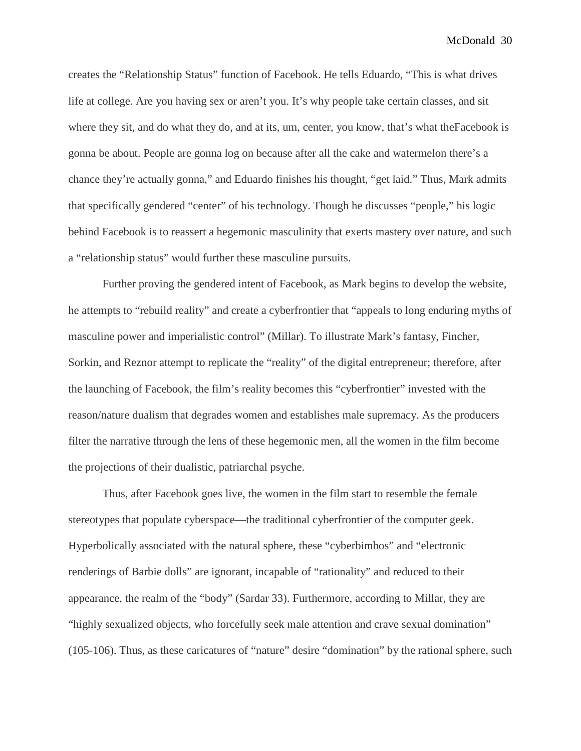creates the "Relationship Status" function of Facebook. He tells Eduardo, "This is what drives life at college. Are you having sex or aren't you. It's why people take certain classes, and sit where they sit, and do what they do, and at its, um, center, you know, that's what theFacebook is gonna be about. People are gonna log on because after all the cake and watermelon there's a chance they're actually gonna," and Eduardo finishes his thought, "get laid." Thus, Mark admits that specifically gendered "center" of his technology. Though he discusses "people," his logic behind Facebook is to reassert a hegemonic masculinity that exerts mastery over nature, and such a "relationship status" would further these masculine pursuits.

Further proving the gendered intent of Facebook, as Mark begins to develop the website, he attempts to "rebuild reality" and create a cyberfrontier that "appeals to long enduring myths of masculine power and imperialistic control" (Millar). To illustrate Mark's fantasy, Fincher, Sorkin, and Reznor attempt to replicate the "reality" of the digital entrepreneur; therefore, after the launching of Facebook, the film's reality becomes this "cyberfrontier" invested with the reason/nature dualism that degrades women and establishes male supremacy. As the producers filter the narrative through the lens of these hegemonic men, all the women in the film become the projections of their dualistic, patriarchal psyche.

Thus, after Facebook goes live, the women in the film start to resemble the female stereotypes that populate cyberspace—the traditional cyberfrontier of the computer geek. Hyperbolically associated with the natural sphere, these "cyberbimbos" and "electronic renderings of Barbie dolls" are ignorant, incapable of "rationality" and reduced to their appearance, the realm of the "body" (Sardar 33). Furthermore, according to Millar, they are "highly sexualized objects, who forcefully seek male attention and crave sexual domination" (105-106). Thus, as these caricatures of "nature" desire "domination" by the rational sphere, such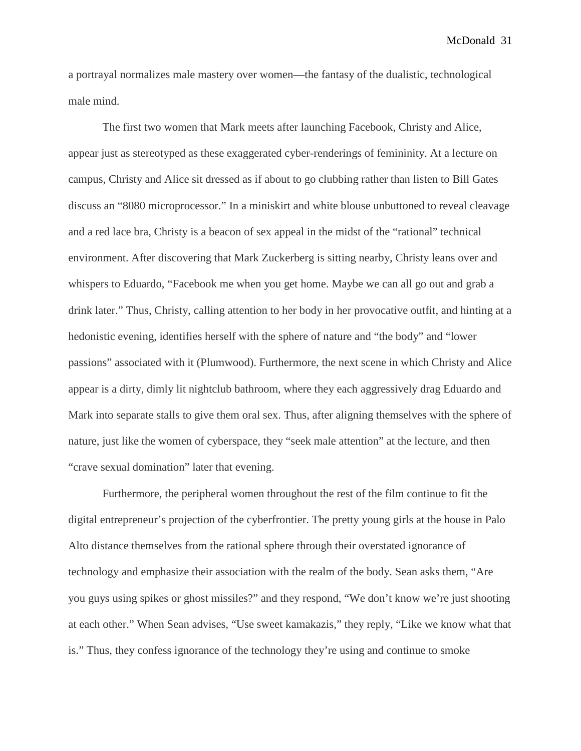a portrayal normalizes male mastery over women—the fantasy of the dualistic, technological male mind.

The first two women that Mark meets after launching Facebook, Christy and Alice, appear just as stereotyped as these exaggerated cyber-renderings of femininity. At a lecture on campus, Christy and Alice sit dressed as if about to go clubbing rather than listen to Bill Gates discuss an "8080 microprocessor." In a miniskirt and white blouse unbuttoned to reveal cleavage and a red lace bra, Christy is a beacon of sex appeal in the midst of the "rational" technical environment. After discovering that Mark Zuckerberg is sitting nearby, Christy leans over and whispers to Eduardo, "Facebook me when you get home. Maybe we can all go out and grab a drink later." Thus, Christy, calling attention to her body in her provocative outfit, and hinting at a hedonistic evening, identifies herself with the sphere of nature and "the body" and "lower passions" associated with it (Plumwood). Furthermore, the next scene in which Christy and Alice appear is a dirty, dimly lit nightclub bathroom, where they each aggressively drag Eduardo and Mark into separate stalls to give them oral sex. Thus, after aligning themselves with the sphere of nature, just like the women of cyberspace, they "seek male attention" at the lecture, and then "crave sexual domination" later that evening.

Furthermore, the peripheral women throughout the rest of the film continue to fit the digital entrepreneur's projection of the cyberfrontier. The pretty young girls at the house in Palo Alto distance themselves from the rational sphere through their overstated ignorance of technology and emphasize their association with the realm of the body. Sean asks them, "Are you guys using spikes or ghost missiles?" and they respond, "We don't know we're just shooting at each other." When Sean advises, "Use sweet kamakazis," they reply, "Like we know what that is." Thus, they confess ignorance of the technology they're using and continue to smoke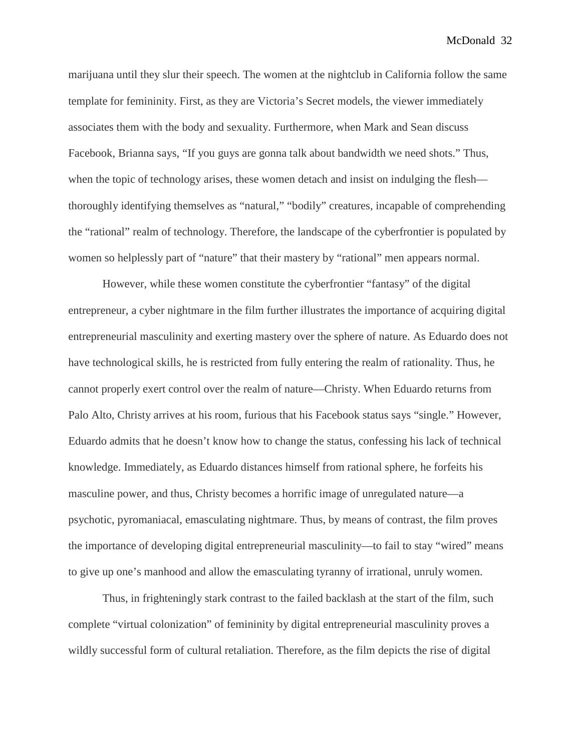marijuana until they slur their speech. The women at the nightclub in California follow the same template for femininity. First, as they are Victoria's Secret models, the viewer immediately associates them with the body and sexuality. Furthermore, when Mark and Sean discuss Facebook, Brianna says, "If you guys are gonna talk about bandwidth we need shots." Thus, when the topic of technology arises, these women detach and insist on indulging the flesh thoroughly identifying themselves as "natural," "bodily" creatures, incapable of comprehending the "rational" realm of technology. Therefore, the landscape of the cyberfrontier is populated by women so helplessly part of "nature" that their mastery by "rational" men appears normal.

However, while these women constitute the cyberfrontier "fantasy" of the digital entrepreneur, a cyber nightmare in the film further illustrates the importance of acquiring digital entrepreneurial masculinity and exerting mastery over the sphere of nature. As Eduardo does not have technological skills, he is restricted from fully entering the realm of rationality. Thus, he cannot properly exert control over the realm of nature—Christy. When Eduardo returns from Palo Alto, Christy arrives at his room, furious that his Facebook status says "single." However, Eduardo admits that he doesn't know how to change the status, confessing his lack of technical knowledge. Immediately, as Eduardo distances himself from rational sphere, he forfeits his masculine power, and thus, Christy becomes a horrific image of unregulated nature—a psychotic, pyromaniacal, emasculating nightmare. Thus, by means of contrast, the film proves the importance of developing digital entrepreneurial masculinity—to fail to stay "wired" means to give up one's manhood and allow the emasculating tyranny of irrational, unruly women.

Thus, in frighteningly stark contrast to the failed backlash at the start of the film, such complete "virtual colonization" of femininity by digital entrepreneurial masculinity proves a wildly successful form of cultural retaliation. Therefore, as the film depicts the rise of digital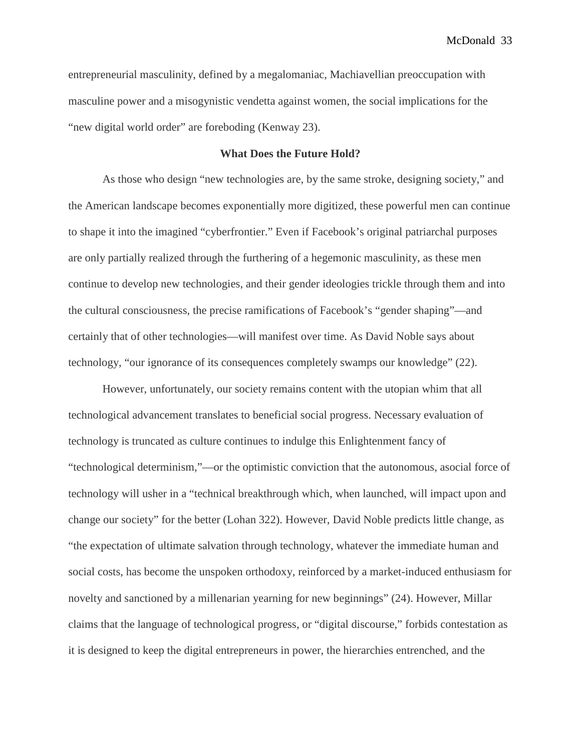entrepreneurial masculinity, defined by a megalomaniac, Machiavellian preoccupation with masculine power and a misogynistic vendetta against women, the social implications for the "new digital world order" are foreboding (Kenway 23).

### **What Does the Future Hold?**

As those who design "new technologies are, by the same stroke, designing society," and the American landscape becomes exponentially more digitized, these powerful men can continue to shape it into the imagined "cyberfrontier." Even if Facebook's original patriarchal purposes are only partially realized through the furthering of a hegemonic masculinity, as these men continue to develop new technologies, and their gender ideologies trickle through them and into the cultural consciousness, the precise ramifications of Facebook's "gender shaping"—and certainly that of other technologies—will manifest over time. As David Noble says about technology, "our ignorance of its consequences completely swamps our knowledge" (22).

However, unfortunately, our society remains content with the utopian whim that all technological advancement translates to beneficial social progress. Necessary evaluation of technology is truncated as culture continues to indulge this Enlightenment fancy of "technological determinism,"—or the optimistic conviction that the autonomous, asocial force of technology will usher in a "technical breakthrough which, when launched, will impact upon and change our society" for the better (Lohan 322). However, David Noble predicts little change, as "the expectation of ultimate salvation through technology, whatever the immediate human and social costs, has become the unspoken orthodoxy, reinforced by a market-induced enthusiasm for novelty and sanctioned by a millenarian yearning for new beginnings" (24). However, Millar claims that the language of technological progress, or "digital discourse," forbids contestation as it is designed to keep the digital entrepreneurs in power, the hierarchies entrenched, and the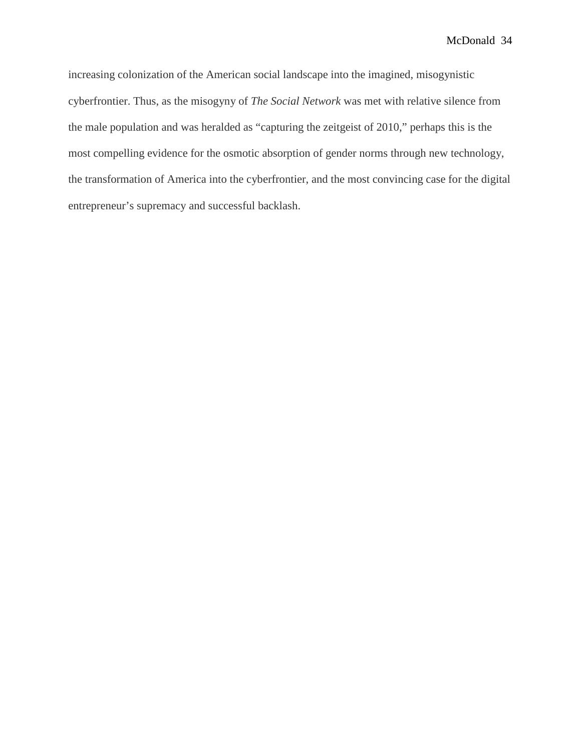increasing colonization of the American social landscape into the imagined, misogynistic cyberfrontier. Thus, as the misogyny of *The Social Network* was met with relative silence from the male population and was heralded as "capturing the zeitgeist of 2010," perhaps this is the most compelling evidence for the osmotic absorption of gender norms through new technology, the transformation of America into the cyberfrontier, and the most convincing case for the digital entrepreneur's supremacy and successful backlash.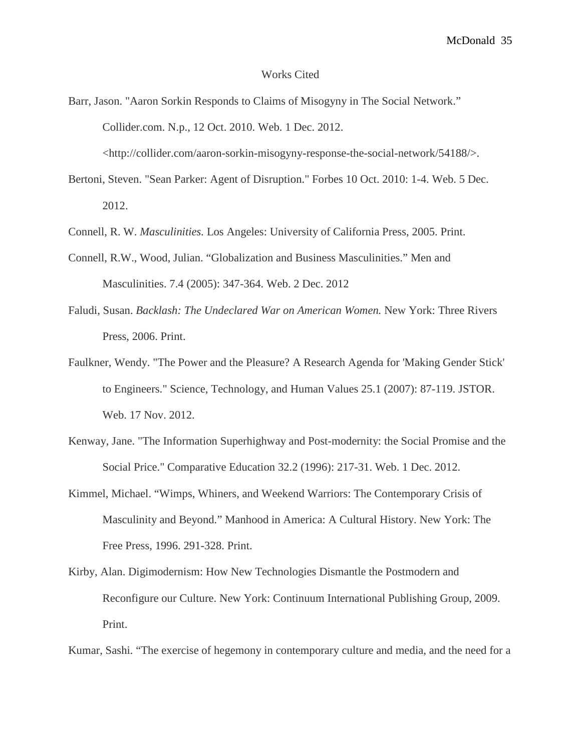#### Works Cited

Barr, Jason. "Aaron Sorkin Responds to Claims of Misogyny in The Social Network." Collider.com. N.p., 12 Oct. 2010. Web. 1 Dec. 2012.

<http://collider.com/aaron-sorkin-misogyny-response-the-social-network/54188/>.

Bertoni, Steven. "Sean Parker: Agent of Disruption." Forbes 10 Oct. 2010: 1-4. Web. 5 Dec. 2012.

Connell, R. W. *Masculinities.* Los Angeles: University of California Press, 2005. Print.

- Connell, R.W., Wood, Julian. "Globalization and Business Masculinities." Men and Masculinities. 7.4 (2005): 347-364. Web. 2 Dec. 2012
- Faludi, Susan. *Backlash: The Undeclared War on American Women.* New York: Three Rivers Press, 2006. Print.
- Faulkner, Wendy. "The Power and the Pleasure? A Research Agenda for 'Making Gender Stick' to Engineers." Science, Technology, and Human Values 25.1 (2007): 87-119. JSTOR. Web. 17 Nov. 2012.
- Kenway, Jane. "The Information Superhighway and Post-modernity: the Social Promise and the Social Price." Comparative Education 32.2 (1996): 217-31. Web. 1 Dec. 2012.
- Kimmel, Michael. "Wimps, Whiners, and Weekend Warriors: The Contemporary Crisis of Masculinity and Beyond." Manhood in America: A Cultural History. New York: The Free Press, 1996. 291-328. Print.
- Kirby, Alan. Digimodernism: How New Technologies Dismantle the Postmodern and Reconfigure our Culture. New York: Continuum International Publishing Group, 2009. Print.

Kumar, Sashi. "The exercise of hegemony in contemporary culture and media, and the need for a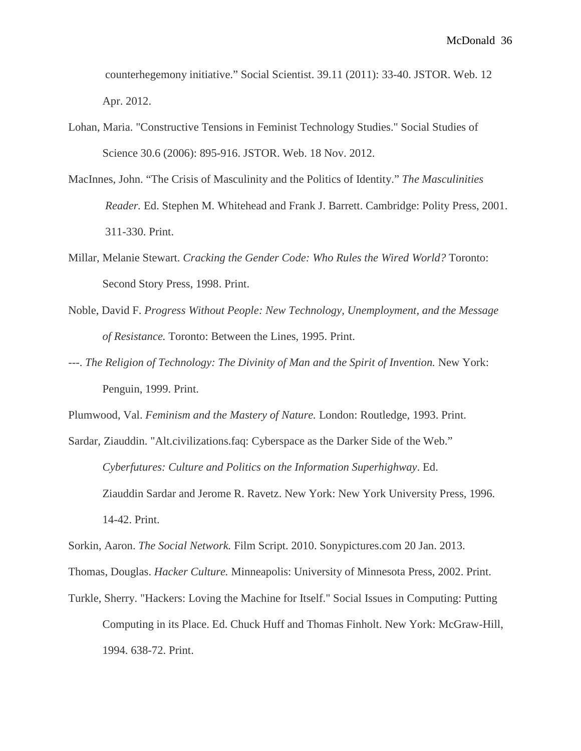counterhegemony initiative." Social Scientist. 39.11 (2011): 33-40. JSTOR. Web. 12 Apr. 2012.

- Lohan, Maria. "Constructive Tensions in Feminist Technology Studies." Social Studies of Science 30.6 (2006): 895-916. JSTOR. Web. 18 Nov. 2012.
- MacInnes, John. "The Crisis of Masculinity and the Politics of Identity." *The Masculinities Reader.* Ed. Stephen M. Whitehead and Frank J. Barrett. Cambridge: Polity Press, 2001. 311-330. Print.
- Millar, Melanie Stewart. *Cracking the Gender Code: Who Rules the Wired World?* Toronto: Second Story Press, 1998. Print.
- Noble, David F. *Progress Without People: New Technology, Unemployment, and the Message of Resistance.* Toronto: Between the Lines, 1995. Print.
- ---. *The Religion of Technology: The Divinity of Man and the Spirit of Invention*. New York: Penguin, 1999. Print.

Plumwood, Val. *Feminism and the Mastery of Nature.* London: Routledge, 1993. Print.

Sardar, Ziauddin. "Alt.civilizations.faq: Cyberspace as the Darker Side of the Web." *Cyberfutures: Culture and Politics on the Information Superhighway*. Ed. Ziauddin Sardar and Jerome R. Ravetz. New York: New York University Press, 1996. 14-42. Print.

Sorkin, Aaron. *The Social Network.* Film Script. 2010. Sonypictures.com 20 Jan. 2013.

Thomas, Douglas. *Hacker Culture.* Minneapolis: University of Minnesota Press, 2002. Print.

Turkle, Sherry. "Hackers: Loving the Machine for Itself." Social Issues in Computing: Putting Computing in its Place. Ed. Chuck Huff and Thomas Finholt. New York: McGraw-Hill, 1994. 638-72. Print.